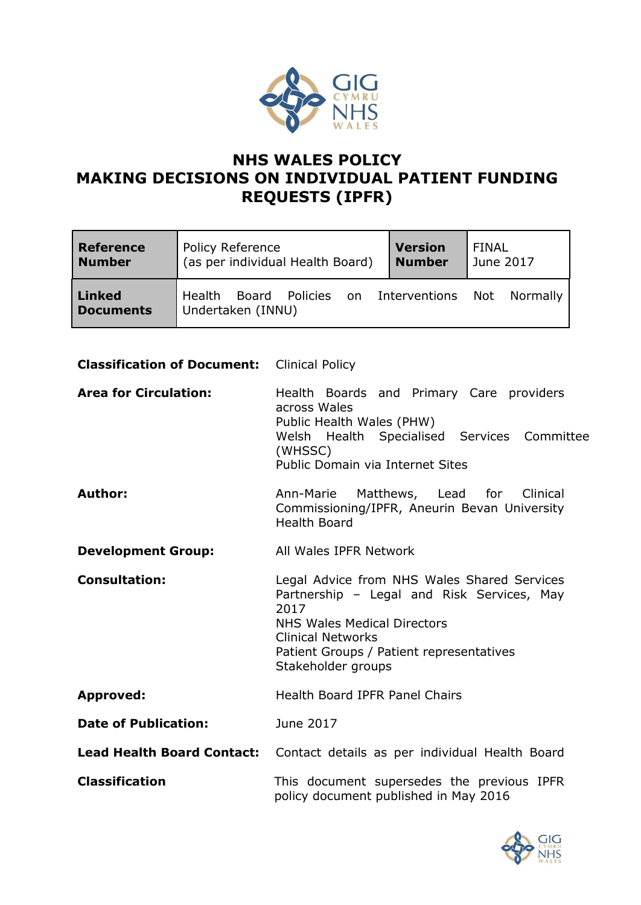

# **NHS WALES POLICY MAKING DECISIONS ON INDIVIDUAL PATIENT FUNDING REQUESTS (IPFR)**

| <b>Reference</b>                  | <b>Policy Reference</b>                                               | <b>Version</b> | FINAL     |
|-----------------------------------|-----------------------------------------------------------------------|----------------|-----------|
| <b>Number</b>                     | (as per individual Health Board)                                      | <b>Number</b>  | June 2017 |
| <b>Linked</b><br><b>Documents</b> | Policies on Interventions Not<br>Health<br>Board<br>Undertaken (INNU) |                | Normally  |

# **Classification of Document:** Clinical Policy

| <b>Area for Circulation:</b> | Health Boards and Primary Care providers<br>across Wales<br>Public Health Wales (PHW)<br>Welsh Health Specialised Services Committee<br>(WHSSC)<br>Public Domain via Internet Sites                                            |
|------------------------------|--------------------------------------------------------------------------------------------------------------------------------------------------------------------------------------------------------------------------------|
| <b>Author:</b>               | Ann-Marie Matthews, Lead for Clinical<br>Commissioning/IPFR, Aneurin Bevan University<br><b>Health Board</b>                                                                                                                   |
| <b>Development Group:</b>    | All Wales IPFR Network                                                                                                                                                                                                         |
| <b>Consultation:</b>         | Legal Advice from NHS Wales Shared Services<br>Partnership - Legal and Risk Services, May<br>2017<br>NHS Wales Medical Directors<br><b>Clinical Networks</b><br>Patient Groups / Patient representatives<br>Stakeholder groups |
| <b>Approved:</b>             | Health Board IPFR Panel Chairs                                                                                                                                                                                                 |
| <b>Date of Publication:</b>  | June 2017                                                                                                                                                                                                                      |
|                              | Lead Health Board Contact: Contact details as per individual Health Board                                                                                                                                                      |
| <b>Classification</b>        | This document supersedes the previous IPFR<br>policy document published in May 2016                                                                                                                                            |

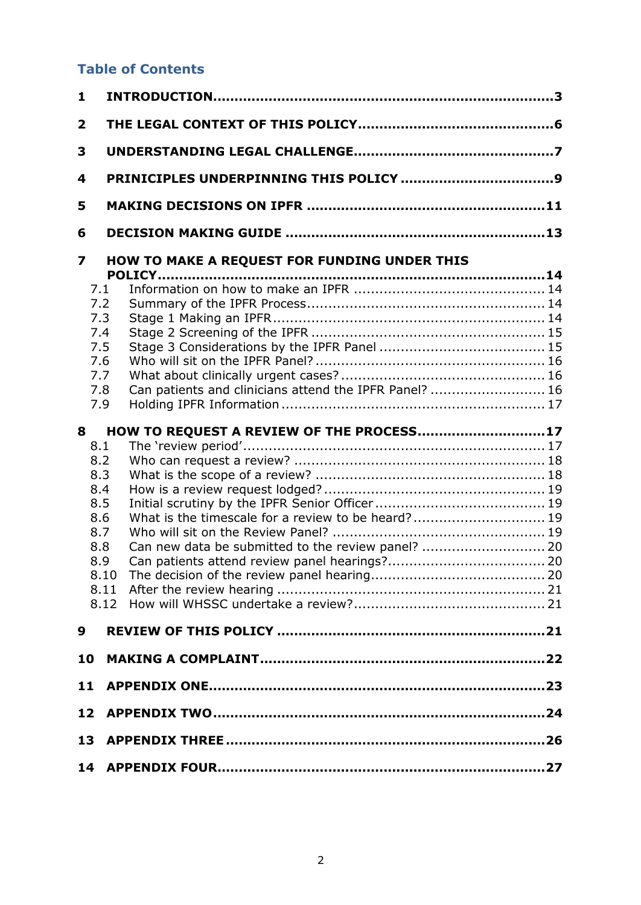# **Table of Contents**

| 1                       |                                                                  |  |
|-------------------------|------------------------------------------------------------------|--|
| $\overline{\mathbf{2}}$ |                                                                  |  |
| 3                       |                                                                  |  |
| 4                       |                                                                  |  |
| 5                       |                                                                  |  |
| 6                       |                                                                  |  |
| 7                       | HOW TO MAKE A REQUEST FOR FUNDING UNDER THIS                     |  |
|                         | 7.1                                                              |  |
|                         | 7.2                                                              |  |
|                         | 7.3                                                              |  |
|                         | 7.4                                                              |  |
|                         | 7.5                                                              |  |
|                         | 7.6                                                              |  |
|                         | 7.7                                                              |  |
|                         | Can patients and clinicians attend the IPFR Panel?  16<br>7.8    |  |
|                         | 7.9                                                              |  |
| 8                       | HOW TO REQUEST A REVIEW OF THE PROCESS17                         |  |
|                         | 8.1                                                              |  |
|                         | 8.2                                                              |  |
|                         | 8.3                                                              |  |
|                         | 8.4                                                              |  |
|                         | 8.5                                                              |  |
|                         | What is the timescale for a review to be heard? 19<br>8.6<br>8.7 |  |
|                         |                                                                  |  |
|                         | Can new data be submitted to the review panel?  20<br>8.8<br>8.9 |  |
|                         |                                                                  |  |
|                         | 8.11                                                             |  |
|                         |                                                                  |  |
|                         |                                                                  |  |
| 9                       |                                                                  |  |
| 10                      |                                                                  |  |
| 11                      |                                                                  |  |
| 12 <sub>1</sub>         |                                                                  |  |
| 13                      |                                                                  |  |
|                         | 14                                                               |  |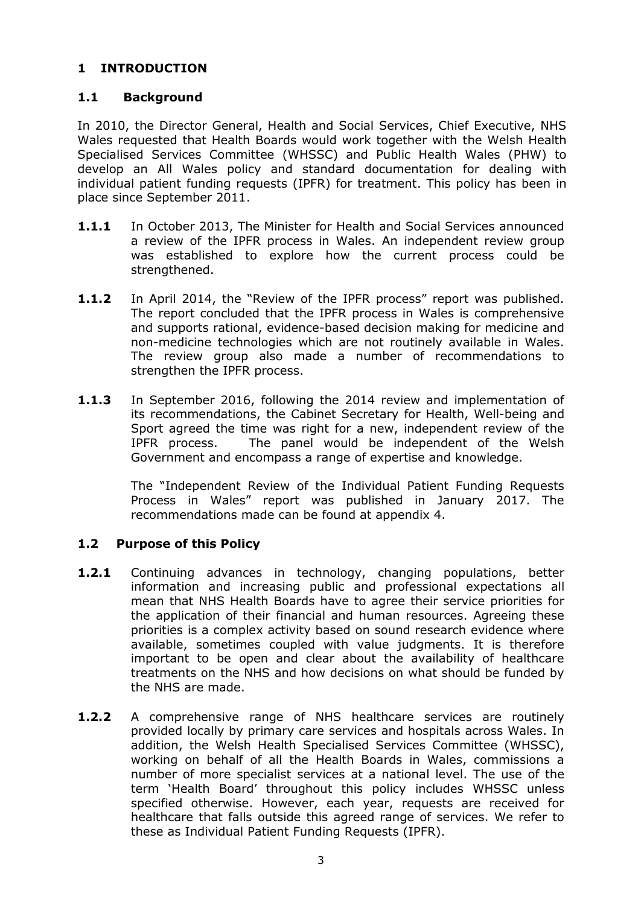# <span id="page-2-0"></span>**1 INTRODUCTION**

# **1.1 Background**

In 2010, the Director General, Health and Social Services, Chief Executive, NHS Wales requested that Health Boards would work together with the Welsh Health Specialised Services Committee (WHSSC) and Public Health Wales (PHW) to develop an All Wales policy and standard documentation for dealing with individual patient funding requests (IPFR) for treatment. This policy has been in place since September 2011.

- **1.1.1** In October 2013, The Minister for Health and Social Services announced a review of the IPFR process in Wales. An independent review group was established to explore how the current process could be strengthened.
- **1.1.2** In April 2014, the "Review of the IPFR process" report was published. The report concluded that the IPFR process in Wales is comprehensive and supports rational, evidence-based decision making for medicine and non-medicine technologies which are not routinely available in Wales. The review group also made a number of recommendations to strengthen the IPFR process.
- **1.1.3** In September 2016, following the 2014 review and implementation of its recommendations, the Cabinet Secretary for Health, Well-being and Sport agreed the time was right for a new, independent review of the IPFR process. The panel would be independent of the Welsh Government and encompass a range of expertise and knowledge.

The "Independent Review of the Individual Patient Funding Requests Process in Wales" report was published in January 2017. The recommendations made can be found at appendix 4.

## **1.2 Purpose of this Policy**

- **1.2.1** Continuing advances in technology, changing populations, better information and increasing public and professional expectations all mean that NHS Health Boards have to agree their service priorities for the application of their financial and human resources. Agreeing these priorities is a complex activity based on sound research evidence where available, sometimes coupled with value judgments. It is therefore important to be open and clear about the availability of healthcare treatments on the NHS and how decisions on what should be funded by the NHS are made.
- **1.2.2** A comprehensive range of NHS healthcare services are routinely provided locally by primary care services and hospitals across Wales. In addition, the Welsh Health Specialised Services Committee (WHSSC), working on behalf of all the Health Boards in Wales, commissions a number of more specialist services at a national level. The use of the term 'Health Board' throughout this policy includes WHSSC unless specified otherwise. However, each year, requests are received for healthcare that falls outside this agreed range of services. We refer to these as Individual Patient Funding Requests (IPFR).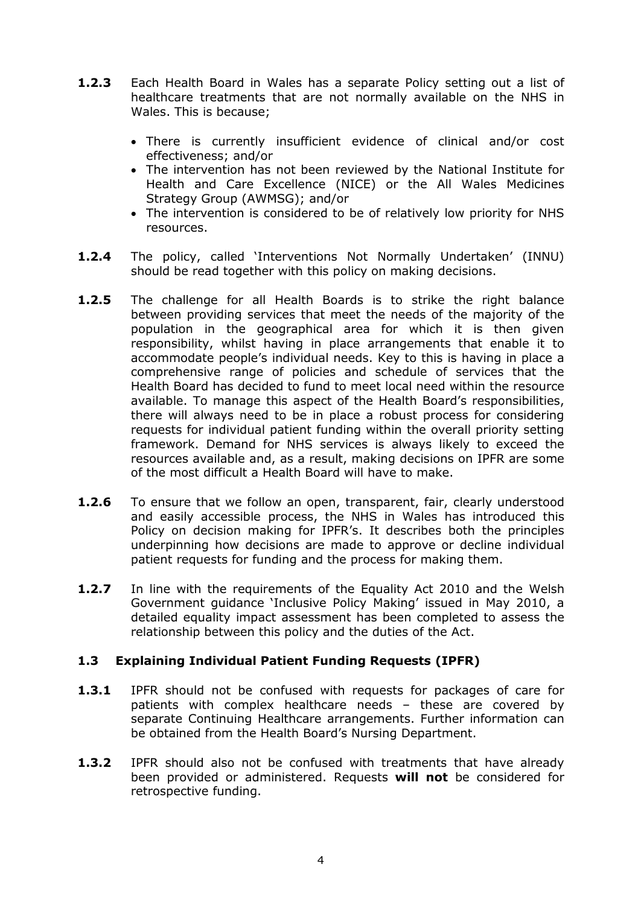- **1.2.3** Each Health Board in Wales has a separate Policy setting out a list of healthcare treatments that are not normally available on the NHS in Wales. This is because;
	- There is currently insufficient evidence of clinical and/or cost effectiveness; and/or
	- The intervention has not been reviewed by the National Institute for Health and Care Excellence (NICE) or the All Wales Medicines Strategy Group (AWMSG); and/or
	- The intervention is considered to be of relatively low priority for NHS resources.
- **1.2.4** The policy, called 'Interventions Not Normally Undertaken' (INNU) should be read together with this policy on making decisions.
- **1.2.5** The challenge for all Health Boards is to strike the right balance between providing services that meet the needs of the majority of the population in the geographical area for which it is then given responsibility, whilst having in place arrangements that enable it to accommodate people's individual needs. Key to this is having in place a comprehensive range of policies and schedule of services that the Health Board has decided to fund to meet local need within the resource available. To manage this aspect of the Health Board's responsibilities, there will always need to be in place a robust process for considering requests for individual patient funding within the overall priority setting framework. Demand for NHS services is always likely to exceed the resources available and, as a result, making decisions on IPFR are some of the most difficult a Health Board will have to make.
- **1.2.6** To ensure that we follow an open, transparent, fair, clearly understood and easily accessible process, the NHS in Wales has introduced this Policy on decision making for IPFR's. It describes both the principles underpinning how decisions are made to approve or decline individual patient requests for funding and the process for making them.
- **1.2.7** In line with the requirements of the Equality Act 2010 and the Welsh Government guidance 'Inclusive Policy Making' issued in May 2010, a detailed equality impact assessment has been completed to assess the relationship between this policy and the duties of the Act.

## **1.3 Explaining Individual Patient Funding Requests (IPFR)**

- **1.3.1** IPFR should not be confused with requests for packages of care for patients with complex healthcare needs – these are covered by separate Continuing Healthcare arrangements. Further information can be obtained from the Health Board's Nursing Department.
- **1.3.2** IPFR should also not be confused with treatments that have already been provided or administered. Requests **will not** be considered for retrospective funding.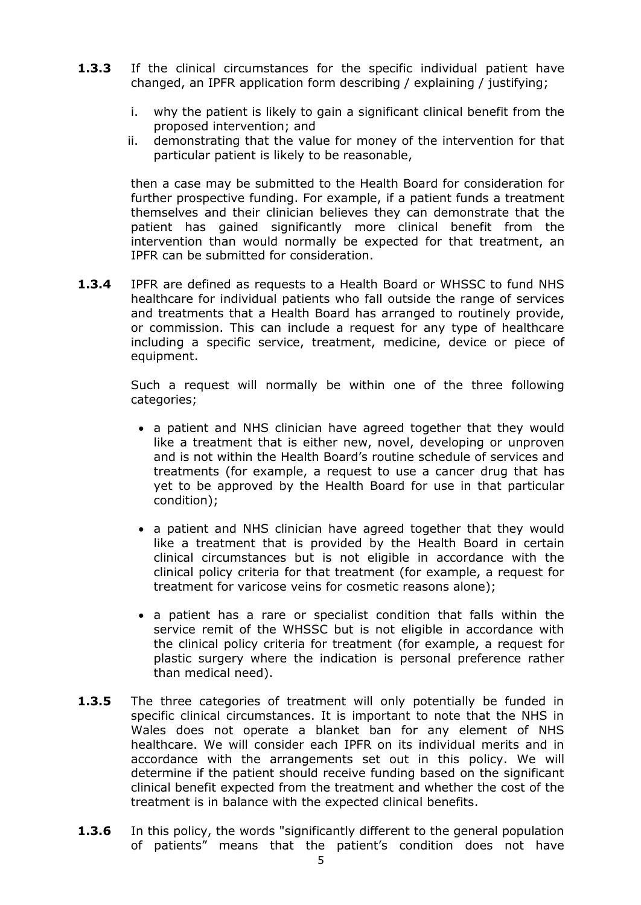- **1.3.3** If the clinical circumstances for the specific individual patient have changed, an IPFR application form describing / explaining / justifying;
	- i. why the patient is likely to gain a significant clinical benefit from the proposed intervention; and
	- ii. demonstrating that the value for money of the intervention for that particular patient is likely to be reasonable,

then a case may be submitted to the Health Board for consideration for further prospective funding. For example, if a patient funds a treatment themselves and their clinician believes they can demonstrate that the patient has gained significantly more clinical benefit from the intervention than would normally be expected for that treatment, an IPFR can be submitted for consideration.

**1.3.4** IPFR are defined as requests to a Health Board or WHSSC to fund NHS healthcare for individual patients who fall outside the range of services and treatments that a Health Board has arranged to routinely provide, or commission. This can include a request for any type of healthcare including a specific service, treatment, medicine, device or piece of equipment.

> Such a request will normally be within one of the three following categories;

- a patient and NHS clinician have agreed together that they would like a treatment that is either new, novel, developing or unproven and is not within the Health Board's routine schedule of services and treatments (for example, a request to use a cancer drug that has yet to be approved by the Health Board for use in that particular condition);
- a patient and NHS clinician have agreed together that they would like a treatment that is provided by the Health Board in certain clinical circumstances but is not eligible in accordance with the clinical policy criteria for that treatment (for example, a request for treatment for varicose veins for cosmetic reasons alone);
- a patient has a rare or specialist condition that falls within the service remit of the WHSSC but is not eligible in accordance with the clinical policy criteria for treatment (for example, a request for plastic surgery where the indication is personal preference rather than medical need).
- **1.3.5** The three categories of treatment will only potentially be funded in specific clinical circumstances. It is important to note that the NHS in Wales does not operate a blanket ban for any element of NHS healthcare. We will consider each IPFR on its individual merits and in accordance with the arrangements set out in this policy. We will determine if the patient should receive funding based on the significant clinical benefit expected from the treatment and whether the cost of the treatment is in balance with the expected clinical benefits.
- **1.3.6** In this policy, the words "significantly different to the general population of patients" means that the patient's condition does not have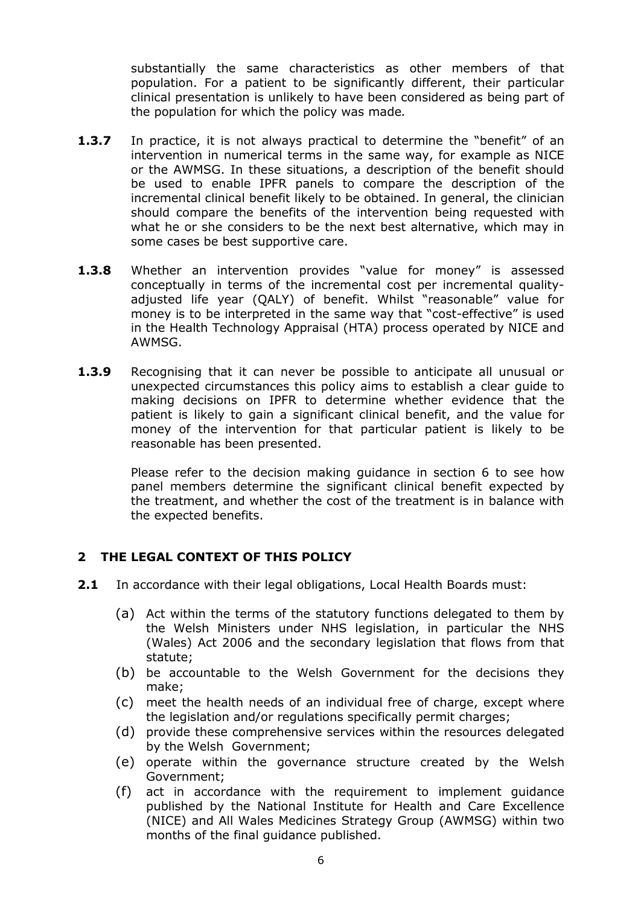substantially the same characteristics as other members of that population. For a patient to be significantly different, their particular clinical presentation is unlikely to have been considered as being part of the population for which the policy was made*.* 

- **1.3.7** In practice, it is not always practical to determine the "benefit" of an intervention in numerical terms in the same way, for example as NICE or the AWMSG. In these situations, a description of the benefit should be used to enable IPFR panels to compare the description of the incremental clinical benefit likely to be obtained. In general, the clinician should compare the benefits of the intervention being requested with what he or she considers to be the next best alternative, which may in some cases be best supportive care.
- **1.3.8** Whether an intervention provides "value for money" is assessed conceptually in terms of the incremental cost per incremental qualityadjusted life year (QALY) of benefit. Whilst "reasonable" value for money is to be interpreted in the same way that "cost-effective" is used in the Health Technology Appraisal (HTA) process operated by NICE and AWMSG.
- **1.3.9** Recognising that it can never be possible to anticipate all unusual or unexpected circumstances this policy aims to establish a clear guide to making decisions on IPFR to determine whether evidence that the patient is likely to gain a significant clinical benefit, and the value for money of the intervention for that particular patient is likely to be reasonable has been presented.

Please refer to the decision making guidance in section 6 to see how panel members determine the significant clinical benefit expected by the treatment, and whether the cost of the treatment is in balance with the expected benefits.

# <span id="page-5-0"></span>**2 THE LEGAL CONTEXT OF THIS POLICY**

- **2.1** In accordance with their legal obligations, Local Health Boards must:
	- (a) Act within the terms of the statutory functions delegated to them by the Welsh Ministers under NHS legislation, in particular the NHS (Wales) Act 2006 and the secondary legislation that flows from that statute;
	- (b) be accountable to the Welsh Government for the decisions they make;
	- (c) meet the health needs of an individual free of charge, except where the legislation and/or regulations specifically permit charges;
	- (d) provide these comprehensive services within the resources delegated by the Welsh Government;
	- (e) operate within the governance structure created by the Welsh Government;
	- (f) act in accordance with the requirement to implement guidance published by the National Institute for Health and Care Excellence (NICE) and All Wales Medicines Strategy Group (AWMSG) within two months of the final guidance published.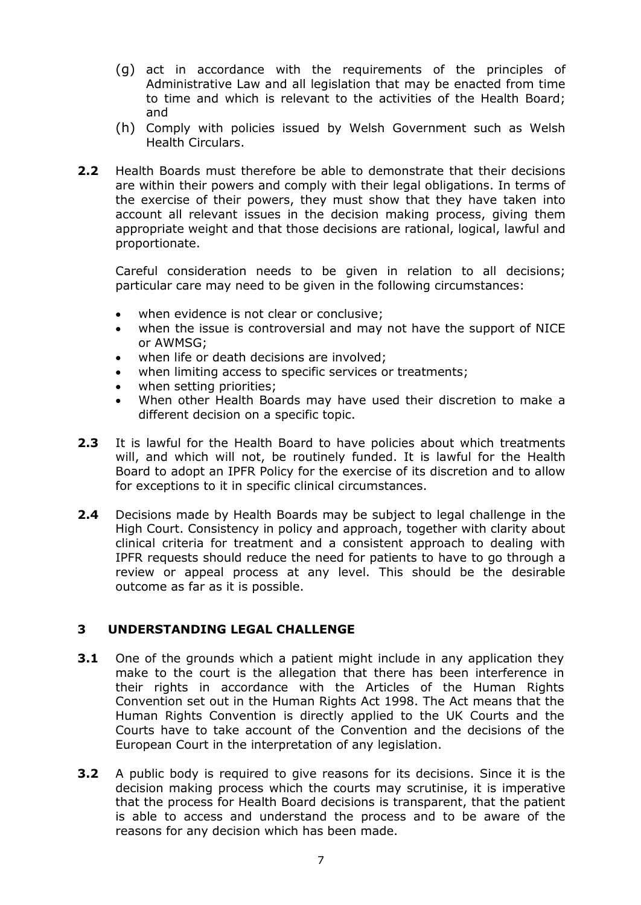- (g) act in accordance with the requirements of the principles of Administrative Law and all legislation that may be enacted from time to time and which is relevant to the activities of the Health Board; and
- (h) Comply with policies issued by Welsh Government such as Welsh Health Circulars.
- **2.2** Health Boards must therefore be able to demonstrate that their decisions are within their powers and comply with their legal obligations. In terms of the exercise of their powers, they must show that they have taken into account all relevant issues in the decision making process, giving them appropriate weight and that those decisions are rational, logical, lawful and proportionate.

Careful consideration needs to be given in relation to all decisions; particular care may need to be given in the following circumstances:

- when evidence is not clear or conclusive;
- when the issue is controversial and may not have the support of NICE or AWMSG;
- when life or death decisions are involved;
- when limiting access to specific services or treatments;
- when setting priorities;
- When other Health Boards may have used their discretion to make a different decision on a specific topic.
- **2.3** It is lawful for the Health Board to have policies about which treatments will, and which will not, be routinely funded. It is lawful for the Health Board to adopt an IPFR Policy for the exercise of its discretion and to allow for exceptions to it in specific clinical circumstances.
- **2.4** Decisions made by Health Boards may be subject to legal challenge in the High Court. Consistency in policy and approach, together with clarity about clinical criteria for treatment and a consistent approach to dealing with IPFR requests should reduce the need for patients to have to go through a review or appeal process at any level. This should be the desirable outcome as far as it is possible.

## <span id="page-6-0"></span>**3 UNDERSTANDING LEGAL CHALLENGE**

- **3.1** One of the grounds which a patient might include in any application they make to the court is the allegation that there has been interference in their rights in accordance with the Articles of the Human Rights Convention set out in the Human Rights Act 1998. The Act means that the Human Rights Convention is directly applied to the UK Courts and the Courts have to take account of the Convention and the decisions of the European Court in the interpretation of any legislation.
- **3.2** A public body is required to give reasons for its decisions. Since it is the decision making process which the courts may scrutinise, it is imperative that the process for Health Board decisions is transparent, that the patient is able to access and understand the process and to be aware of the reasons for any decision which has been made.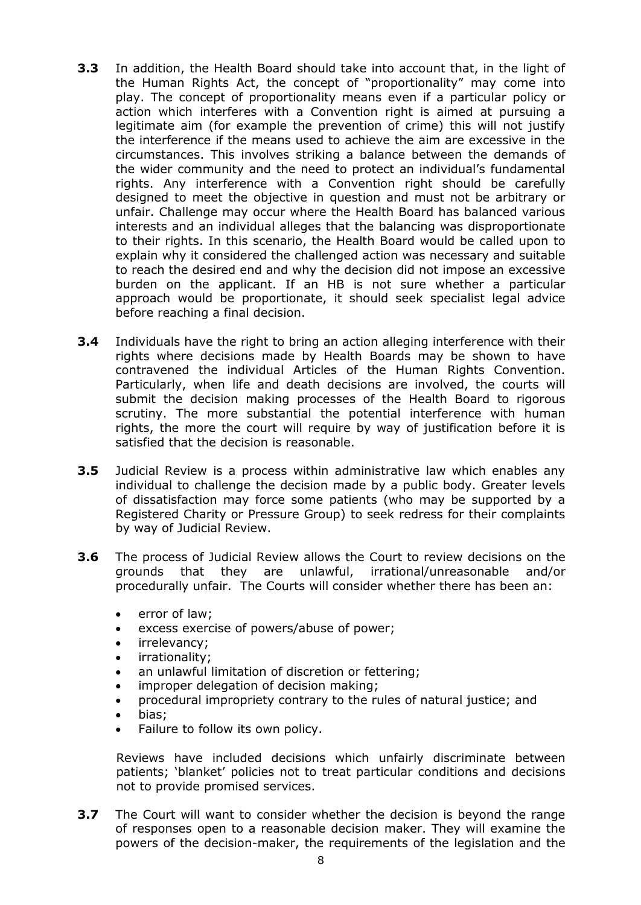- **3.3** In addition, the Health Board should take into account that, in the light of the Human Rights Act, the concept of "proportionality" may come into play. The concept of proportionality means even if a particular policy or action which interferes with a Convention right is aimed at pursuing a legitimate aim (for example the prevention of crime) this will not justify the interference if the means used to achieve the aim are excessive in the circumstances. This involves striking a balance between the demands of the wider community and the need to protect an individual's fundamental rights. Any interference with a Convention right should be carefully designed to meet the objective in question and must not be arbitrary or unfair. Challenge may occur where the Health Board has balanced various interests and an individual alleges that the balancing was disproportionate to their rights. In this scenario, the Health Board would be called upon to explain why it considered the challenged action was necessary and suitable to reach the desired end and why the decision did not impose an excessive burden on the applicant. If an HB is not sure whether a particular approach would be proportionate, it should seek specialist legal advice before reaching a final decision.
- **3.4** Individuals have the right to bring an action alleging interference with their rights where decisions made by Health Boards may be shown to have contravened the individual Articles of the Human Rights Convention. Particularly, when life and death decisions are involved, the courts will submit the decision making processes of the Health Board to rigorous scrutiny. The more substantial the potential interference with human rights, the more the court will require by way of justification before it is satisfied that the decision is reasonable.
- **3.5** Judicial Review is a process within administrative law which enables any individual to challenge the decision made by a public body. Greater levels of dissatisfaction may force some patients (who may be supported by a Registered Charity or Pressure Group) to seek redress for their complaints by way of Judicial Review.
- **3.6** The process of Judicial Review allows the Court to review decisions on the grounds that they are unlawful, irrational/unreasonable and/or procedurally unfair. The Courts will consider whether there has been an:
	- error of law;
	- excess exercise of powers/abuse of power;
	- irrelevancy;
	- irrationality;
	- an unlawful limitation of discretion or fettering;
	- improper delegation of decision making;
	- procedural impropriety contrary to the rules of natural justice; and
	- bias;
	- Failure to follow its own policy.

Reviews have included decisions which unfairly discriminate between patients; 'blanket' policies not to treat particular conditions and decisions not to provide promised services.

**3.7** The Court will want to consider whether the decision is beyond the range of responses open to a reasonable decision maker. They will examine the powers of the decision-maker, the requirements of the legislation and the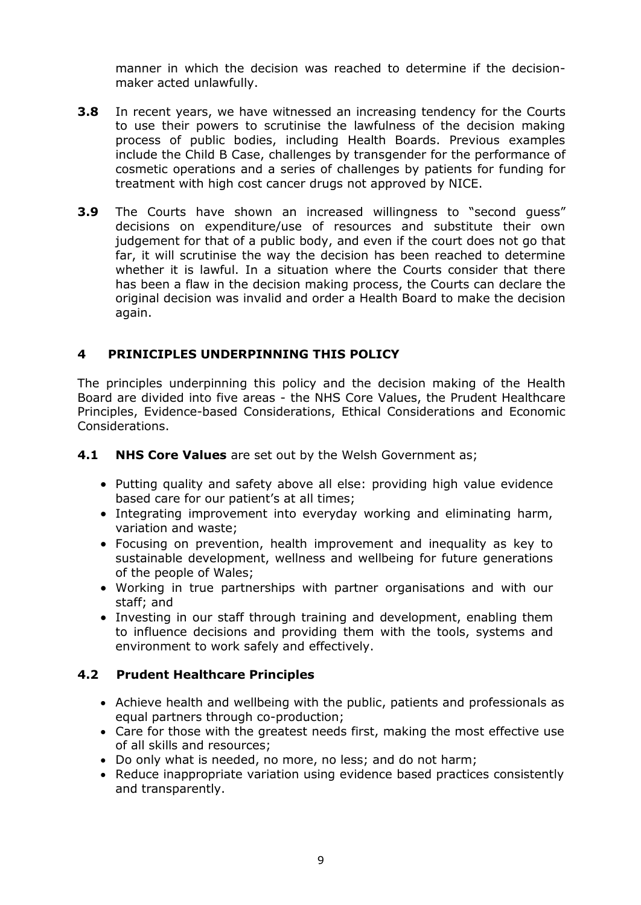manner in which the decision was reached to determine if the decisionmaker acted unlawfully.

- **3.8** In recent years, we have witnessed an increasing tendency for the Courts to use their powers to scrutinise the lawfulness of the decision making process of public bodies, including Health Boards. Previous examples include the Child B Case, challenges by transgender for the performance of cosmetic operations and a series of challenges by patients for funding for treatment with high cost cancer drugs not approved by NICE.
- **3.9** The Courts have shown an increased willingness to "second quess" decisions on expenditure/use of resources and substitute their own judgement for that of a public body, and even if the court does not go that far, it will scrutinise the way the decision has been reached to determine whether it is lawful. In a situation where the Courts consider that there has been a flaw in the decision making process, the Courts can declare the original decision was invalid and order a Health Board to make the decision again.

# <span id="page-8-0"></span>**4 PRINICIPLES UNDERPINNING THIS POLICY**

The principles underpinning this policy and the decision making of the Health Board are divided into five areas - the NHS Core Values, the Prudent Healthcare Principles, Evidence-based Considerations, Ethical Considerations and Economic Considerations.

**4.1 NHS Core Values** are set out by the Welsh Government as;

- Putting quality and safety above all else: providing high value evidence based care for our patient's at all times;
- Integrating improvement into everyday working and eliminating harm, variation and waste;
- Focusing on prevention, health improvement and inequality as key to sustainable development, wellness and wellbeing for future generations of the people of Wales;
- Working in true partnerships with partner organisations and with our staff; and
- Investing in our staff through training and development, enabling them to influence decisions and providing them with the tools, systems and environment to work safely and effectively.

## **4.2 Prudent Healthcare Principles**

- Achieve health and wellbeing with the public, patients and professionals as equal partners through co-production;
- Care for those with the greatest needs first, making the most effective use of all skills and resources;
- Do only what is needed, no more, no less; and do not harm;
- Reduce inappropriate variation using evidence based practices consistently and transparently.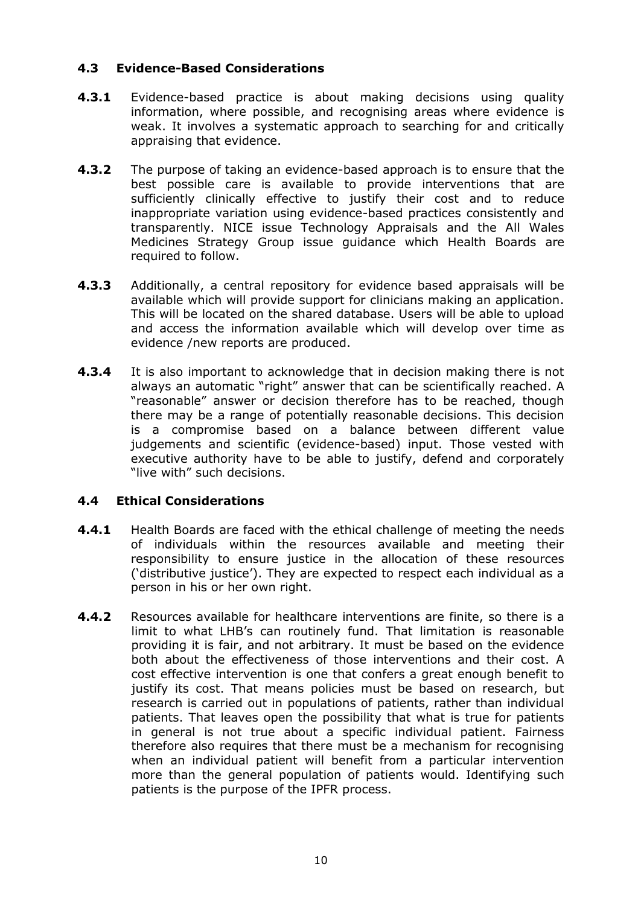# **4.3 Evidence-Based Considerations**

- **4.3.1** Evidence-based practice is about making decisions using quality information, where possible, and recognising areas where evidence is weak. It involves a systematic approach to searching for and critically appraising that evidence.
- **4.3.2** The purpose of taking an evidence-based approach is to ensure that the best possible care is available to provide interventions that are sufficiently clinically effective to justify their cost and to reduce inappropriate variation using evidence-based practices consistently and transparently. NICE issue Technology Appraisals and the All Wales Medicines Strategy Group issue guidance which Health Boards are required to follow.
- **4.3.3** Additionally, a central repository for evidence based appraisals will be available which will provide support for clinicians making an application. This will be located on the shared database. Users will be able to upload and access the information available which will develop over time as evidence /new reports are produced.
- **4.3.4** It is also important to acknowledge that in decision making there is not always an automatic "right" answer that can be scientifically reached. A "reasonable" answer or decision therefore has to be reached, though there may be a range of potentially reasonable decisions. This decision is a compromise based on a balance between different value judgements and scientific (evidence-based) input. Those vested with executive authority have to be able to justify, defend and corporately "live with" such decisions.

## **4.4 Ethical Considerations**

- **4.4.1** Health Boards are faced with the ethical challenge of meeting the needs of individuals within the resources available and meeting their responsibility to ensure justice in the allocation of these resources ('distributive justice'). They are expected to respect each individual as a person in his or her own right.
- **4.4.2** Resources available for healthcare interventions are finite, so there is a limit to what LHB's can routinely fund. That limitation is reasonable providing it is fair, and not arbitrary. It must be based on the evidence both about the effectiveness of those interventions and their cost. A cost effective intervention is one that confers a great enough benefit to justify its cost. That means policies must be based on research, but research is carried out in populations of patients, rather than individual patients. That leaves open the possibility that what is true for patients in general is not true about a specific individual patient. Fairness therefore also requires that there must be a mechanism for recognising when an individual patient will benefit from a particular intervention more than the general population of patients would. Identifying such patients is the purpose of the IPFR process.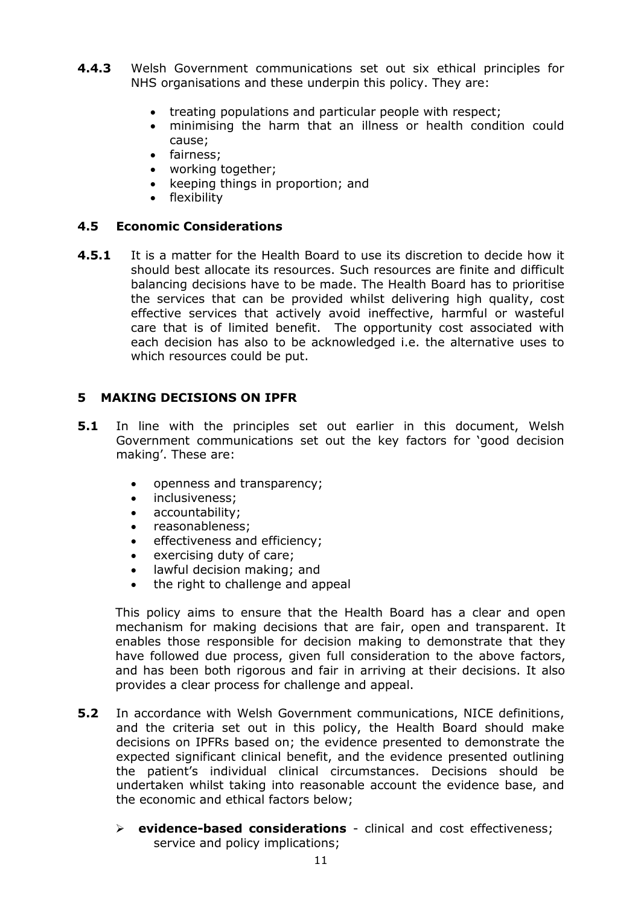- **4.4.3** Welsh Government communications set out six ethical principles for NHS organisations and these underpin this policy. They are:
	- treating populations and particular people with respect;
	- minimising the harm that an illness or health condition could cause;
	- fairness;
	- working together;
	- keeping things in proportion; and
	- flexibility

## **4.5 Economic Considerations**

**4.5.1** It is a matter for the Health Board to use its discretion to decide how it should best allocate its resources. Such resources are finite and difficult balancing decisions have to be made. The Health Board has to prioritise the services that can be provided whilst delivering high quality, cost effective services that actively avoid ineffective, harmful or wasteful care that is of limited benefit. The opportunity cost associated with each decision has also to be acknowledged i.e. the alternative uses to which resources could be put.

## <span id="page-10-0"></span>**5 MAKING DECISIONS ON IPFR**

- **5.1** In line with the principles set out earlier in this document, Welsh Government communications set out the key factors for 'good decision making'. These are:
	- openness and transparency;
	- inclusiveness;
	- accountability;
	- reasonableness:
	- **e** effectiveness and efficiency;
	- exercising duty of care;
	- lawful decision making; and
	- the right to challenge and appeal

This policy aims to ensure that the Health Board has a clear and open mechanism for making decisions that are fair, open and transparent. It enables those responsible for decision making to demonstrate that they have followed due process, given full consideration to the above factors, and has been both rigorous and fair in arriving at their decisions. It also provides a clear process for challenge and appeal.

- **5.2** In accordance with Welsh Government communications, NICE definitions, and the criteria set out in this policy, the Health Board should make decisions on IPFRs based on; the evidence presented to demonstrate the expected significant clinical benefit, and the evidence presented outlining the patient's individual clinical circumstances. Decisions should be undertaken whilst taking into reasonable account the evidence base, and the economic and ethical factors below;
	- **evidence-based considerations** clinical and cost effectiveness; service and policy implications;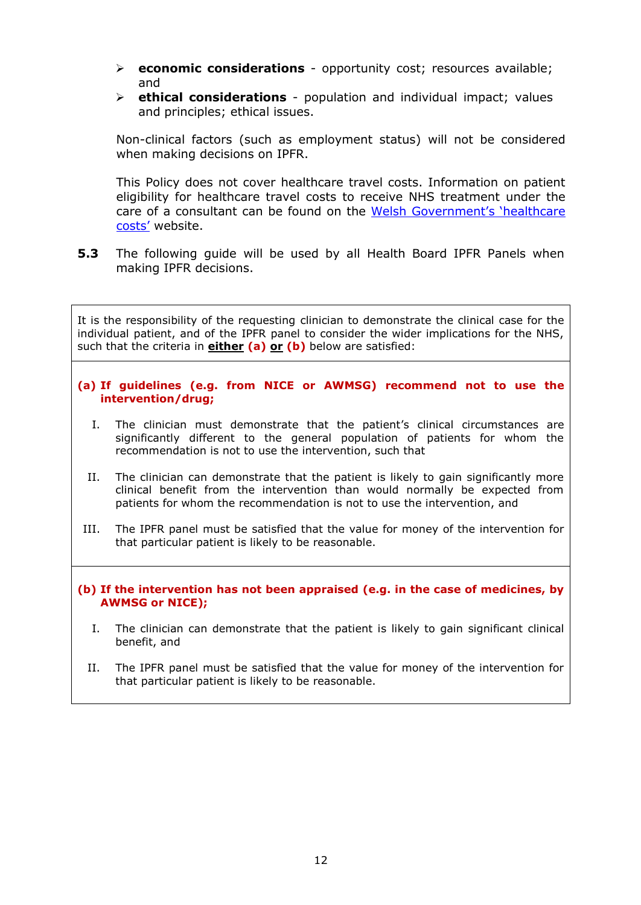- **economic considerations** opportunity cost; resources available; and
- **ethical considerations** population and individual impact; values and principles; ethical issues.

Non-clinical factors (such as employment status) will not be considered when making decisions on IPFR.

This Policy does not cover healthcare travel costs. Information on patient eligibility for healthcare travel costs to receive NHS treatment under the care of a consultant can be found on the [Welsh Government's 'healthcare](http://www.healthcosts.wales.nhs.uk/travel-costs)  [costs'](http://www.healthcosts.wales.nhs.uk/travel-costs) website.

**5.3** The following guide will be used by all Health Board IPFR Panels when making IPFR decisions.

It is the responsibility of the requesting clinician to demonstrate the clinical case for the individual patient, and of the IPFR panel to consider the wider implications for the NHS, such that the criteria in **either (a) or (b)** below are satisfied:

- **(a) If guidelines (e.g. from NICE or AWMSG) recommend not to use the intervention/drug;**
	- I. The clinician must demonstrate that the patient's clinical circumstances are significantly different to the general population of patients for whom the recommendation is not to use the intervention, such that
	- II. The clinician can demonstrate that the patient is likely to gain significantly more clinical benefit from the intervention than would normally be expected from patients for whom the recommendation is not to use the intervention, and
- III. The IPFR panel must be satisfied that the value for money of the intervention for that particular patient is likely to be reasonable.

**(b) If the intervention has not been appraised (e.g. in the case of medicines, by AWMSG or NICE);**

- I. The clinician can demonstrate that the patient is likely to gain significant clinical benefit, and
- II. The IPFR panel must be satisfied that the value for money of the intervention for that particular patient is likely to be reasonable.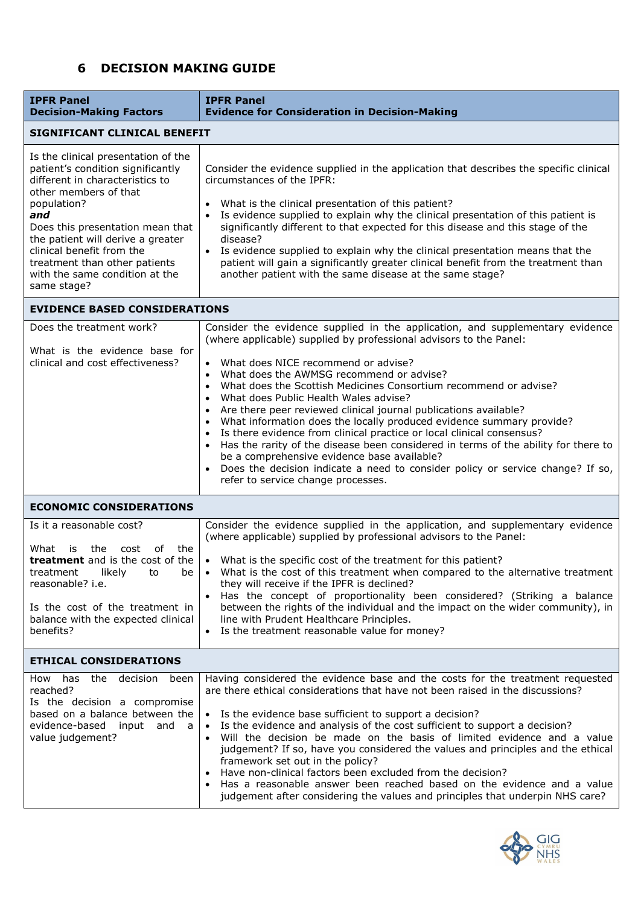# <span id="page-12-0"></span>**6 DECISION MAKING GUIDE**

| <b>IPFR Panel</b><br><b>Decision-Making Factors</b>                                                                                                                                                                                                                                                                                                | <b>IPFR Panel</b><br><b>Evidence for Consideration in Decision-Making</b>                                                                                                                                                                                                                                                                                                                                                                                                                                                                                                                                                                                                                                                                                                                                                                                       |  |  |  |
|----------------------------------------------------------------------------------------------------------------------------------------------------------------------------------------------------------------------------------------------------------------------------------------------------------------------------------------------------|-----------------------------------------------------------------------------------------------------------------------------------------------------------------------------------------------------------------------------------------------------------------------------------------------------------------------------------------------------------------------------------------------------------------------------------------------------------------------------------------------------------------------------------------------------------------------------------------------------------------------------------------------------------------------------------------------------------------------------------------------------------------------------------------------------------------------------------------------------------------|--|--|--|
| SIGNIFICANT CLINICAL BENEFIT                                                                                                                                                                                                                                                                                                                       |                                                                                                                                                                                                                                                                                                                                                                                                                                                                                                                                                                                                                                                                                                                                                                                                                                                                 |  |  |  |
| Is the clinical presentation of the<br>patient's condition significantly<br>different in characteristics to<br>other members of that<br>population?<br>and<br>Does this presentation mean that<br>the patient will derive a greater<br>clinical benefit from the<br>treatment than other patients<br>with the same condition at the<br>same stage? | Consider the evidence supplied in the application that describes the specific clinical<br>circumstances of the IPFR:<br>What is the clinical presentation of this patient?<br>Is evidence supplied to explain why the clinical presentation of this patient is<br>significantly different to that expected for this disease and this stage of the<br>disease?<br>• Is evidence supplied to explain why the clinical presentation means that the<br>patient will gain a significantly greater clinical benefit from the treatment than<br>another patient with the same disease at the same stage?                                                                                                                                                                                                                                                               |  |  |  |
| <b>EVIDENCE BASED CONSIDERATIONS</b>                                                                                                                                                                                                                                                                                                               |                                                                                                                                                                                                                                                                                                                                                                                                                                                                                                                                                                                                                                                                                                                                                                                                                                                                 |  |  |  |
| Does the treatment work?<br>What is the evidence base for<br>clinical and cost effectiveness?                                                                                                                                                                                                                                                      | Consider the evidence supplied in the application, and supplementary evidence<br>(where applicable) supplied by professional advisors to the Panel:<br>What does NICE recommend or advise?<br>$\bullet$<br>What does the AWMSG recommend or advise?<br>$\bullet$<br>What does the Scottish Medicines Consortium recommend or advise?<br>What does Public Health Wales advise?<br>Are there peer reviewed clinical journal publications available?<br>What information does the locally produced evidence summary provide?<br>Is there evidence from clinical practice or local clinical consensus?<br>Has the rarity of the disease been considered in terms of the ability for there to<br>be a comprehensive evidence base available?<br>Does the decision indicate a need to consider policy or service change? If so,<br>refer to service change processes. |  |  |  |
| <b>ECONOMIC CONSIDERATIONS</b>                                                                                                                                                                                                                                                                                                                     |                                                                                                                                                                                                                                                                                                                                                                                                                                                                                                                                                                                                                                                                                                                                                                                                                                                                 |  |  |  |
| Is it a reasonable cost?<br>What<br>is i<br>the cost<br>of<br>the<br><b>treatment</b> and is the cost of the<br>be<br>treatment likely to<br>reasonable? i.e.<br>Is the cost of the treatment in<br>balance with the expected clinical<br>benefits?                                                                                                | Consider the evidence supplied in the application, and supplementary evidence<br>(where applicable) supplied by professional advisors to the Panel:<br>• What is the specific cost of the treatment for this patient?<br>• What is the cost of this treatment when compared to the alternative treatment<br>they will receive if the IPFR is declined?<br>Has the concept of proportionality been considered? (Striking a balance<br>$\bullet$<br>between the rights of the individual and the impact on the wider community), in<br>line with Prudent Healthcare Principles.<br>Is the treatment reasonable value for money?                                                                                                                                                                                                                                   |  |  |  |
| <b>ETHICAL CONSIDERATIONS</b>                                                                                                                                                                                                                                                                                                                      |                                                                                                                                                                                                                                                                                                                                                                                                                                                                                                                                                                                                                                                                                                                                                                                                                                                                 |  |  |  |
| has the decision<br>How<br>been<br>reached?<br>Is the decision a compromise<br>based on a balance between the<br>evidence-based input and a<br>value judgement?                                                                                                                                                                                    | Having considered the evidence base and the costs for the treatment requested<br>are there ethical considerations that have not been raised in the discussions?<br>• Is the evidence base sufficient to support a decision?<br>Is the evidence and analysis of the cost sufficient to support a decision?<br>Will the decision be made on the basis of limited evidence and a value<br>$\bullet$<br>judgement? If so, have you considered the values and principles and the ethical<br>framework set out in the policy?<br>Have non-clinical factors been excluded from the decision?<br>Has a reasonable answer been reached based on the evidence and a value<br>judgement after considering the values and principles that underpin NHS care?                                                                                                                |  |  |  |

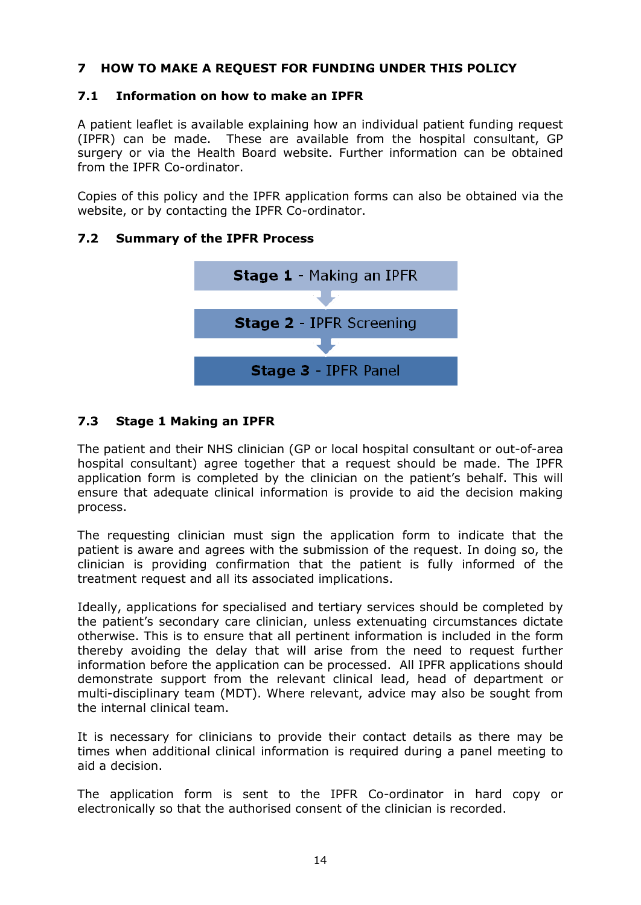# <span id="page-13-0"></span>**7 HOW TO MAKE A REQUEST FOR FUNDING UNDER THIS POLICY**

# <span id="page-13-1"></span>**7.1 Information on how to make an IPFR**

A patient leaflet is available explaining how an individual patient funding request (IPFR) can be made. These are available from the hospital consultant, GP surgery or via the Health Board website. Further information can be obtained from the IPFR Co-ordinator.

Copies of this policy and the IPFR application forms can also be obtained via the website, or by contacting the IPFR Co-ordinator.

## <span id="page-13-2"></span>**7.2 Summary of the IPFR Process**



# <span id="page-13-3"></span>**7.3 Stage 1 Making an IPFR**

The patient and their NHS clinician (GP or local hospital consultant or out-of-area hospital consultant) agree together that a request should be made. The IPFR application form is completed by the clinician on the patient's behalf. This will ensure that adequate clinical information is provide to aid the decision making process.

The requesting clinician must sign the application form to indicate that the patient is aware and agrees with the submission of the request. In doing so, the clinician is providing confirmation that the patient is fully informed of the treatment request and all its associated implications.

Ideally, applications for specialised and tertiary services should be completed by the patient's secondary care clinician, unless extenuating circumstances dictate otherwise. This is to ensure that all pertinent information is included in the form thereby avoiding the delay that will arise from the need to request further information before the application can be processed. All IPFR applications should demonstrate support from the relevant clinical lead, head of department or multi-disciplinary team (MDT). Where relevant, advice may also be sought from the internal clinical team.

It is necessary for clinicians to provide their contact details as there may be times when additional clinical information is required during a panel meeting to aid a decision.

The application form is sent to the IPFR Co-ordinator in hard copy or electronically so that the authorised consent of the clinician is recorded.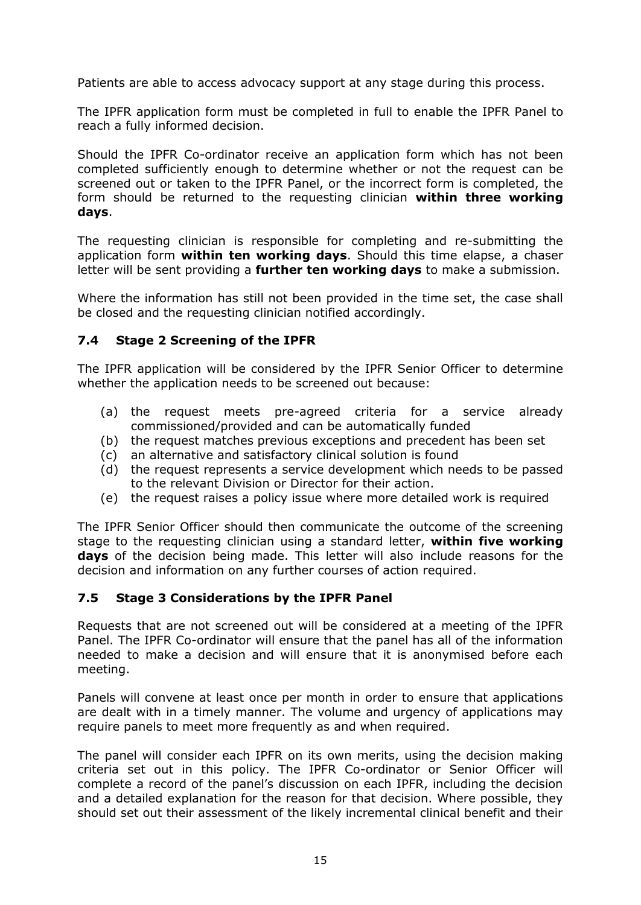Patients are able to access advocacy support at any stage during this process.

The IPFR application form must be completed in full to enable the IPFR Panel to reach a fully informed decision.

Should the IPFR Co-ordinator receive an application form which has not been completed sufficiently enough to determine whether or not the request can be screened out or taken to the IPFR Panel, or the incorrect form is completed, the form should be returned to the requesting clinician **within three working days**.

The requesting clinician is responsible for completing and re-submitting the application form **within ten working days**. Should this time elapse, a chaser letter will be sent providing a **further ten working days** to make a submission.

Where the information has still not been provided in the time set, the case shall be closed and the requesting clinician notified accordingly.

# <span id="page-14-0"></span>**7.4 Stage 2 Screening of the IPFR**

The IPFR application will be considered by the IPFR Senior Officer to determine whether the application needs to be screened out because:

- (a) the request meets pre-agreed criteria for a service already commissioned/provided and can be automatically funded
- (b) the request matches previous exceptions and precedent has been set
- (c) an alternative and satisfactory clinical solution is found
- (d) the request represents a service development which needs to be passed to the relevant Division or Director for their action.
- (e) the request raises a policy issue where more detailed work is required

The IPFR Senior Officer should then communicate the outcome of the screening stage to the requesting clinician using a standard letter, **within five working days** of the decision being made. This letter will also include reasons for the decision and information on any further courses of action required.

## <span id="page-14-1"></span>**7.5 Stage 3 Considerations by the IPFR Panel**

Requests that are not screened out will be considered at a meeting of the IPFR Panel. The IPFR Co-ordinator will ensure that the panel has all of the information needed to make a decision and will ensure that it is anonymised before each meeting.

Panels will convene at least once per month in order to ensure that applications are dealt with in a timely manner. The volume and urgency of applications may require panels to meet more frequently as and when required.

The panel will consider each IPFR on its own merits, using the decision making criteria set out in this policy. The IPFR Co-ordinator or Senior Officer will complete a record of the panel's discussion on each IPFR, including the decision and a detailed explanation for the reason for that decision. Where possible, they should set out their assessment of the likely incremental clinical benefit and their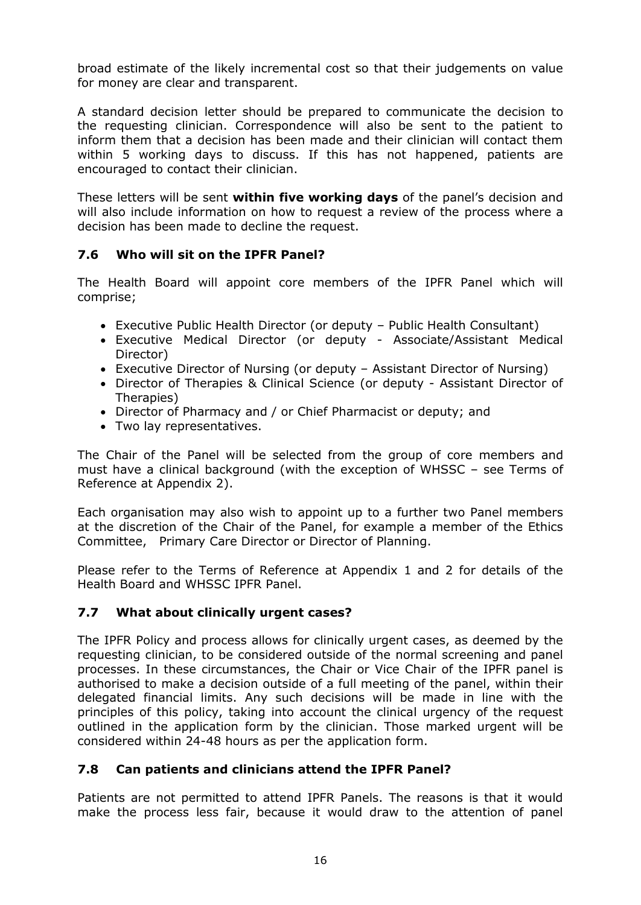broad estimate of the likely incremental cost so that their judgements on value for money are clear and transparent.

A standard decision letter should be prepared to communicate the decision to the requesting clinician. Correspondence will also be sent to the patient to inform them that a decision has been made and their clinician will contact them within 5 working days to discuss. If this has not happened, patients are encouraged to contact their clinician.

These letters will be sent **within five working days** of the panel's decision and will also include information on how to request a review of the process where a decision has been made to decline the request.

# <span id="page-15-0"></span>**7.6 Who will sit on the IPFR Panel?**

The Health Board will appoint core members of the IPFR Panel which will comprise;

- Executive Public Health Director (or deputy Public Health Consultant)
- Executive Medical Director (or deputy Associate/Assistant Medical Director)
- Executive Director of Nursing (or deputy Assistant Director of Nursing)
- Director of Therapies & Clinical Science (or deputy Assistant Director of Therapies)
- Director of Pharmacy and / or Chief Pharmacist or deputy; and
- Two lay representatives.

The Chair of the Panel will be selected from the group of core members and must have a clinical background (with the exception of WHSSC – see Terms of Reference at Appendix 2).

Each organisation may also wish to appoint up to a further two Panel members at the discretion of the Chair of the Panel, for example a member of the Ethics Committee, Primary Care Director or Director of Planning.

Please refer to the Terms of Reference at Appendix 1 and 2 for details of the Health Board and WHSSC IPFR Panel.

## <span id="page-15-1"></span>**7.7 What about clinically urgent cases?**

The IPFR Policy and process allows for clinically urgent cases, as deemed by the requesting clinician, to be considered outside of the normal screening and panel processes. In these circumstances, the Chair or Vice Chair of the IPFR panel is authorised to make a decision outside of a full meeting of the panel, within their delegated financial limits. Any such decisions will be made in line with the principles of this policy, taking into account the clinical urgency of the request outlined in the application form by the clinician. Those marked urgent will be considered within 24-48 hours as per the application form.

# <span id="page-15-2"></span>**7.8 Can patients and clinicians attend the IPFR Panel?**

Patients are not permitted to attend IPFR Panels. The reasons is that it would make the process less fair, because it would draw to the attention of panel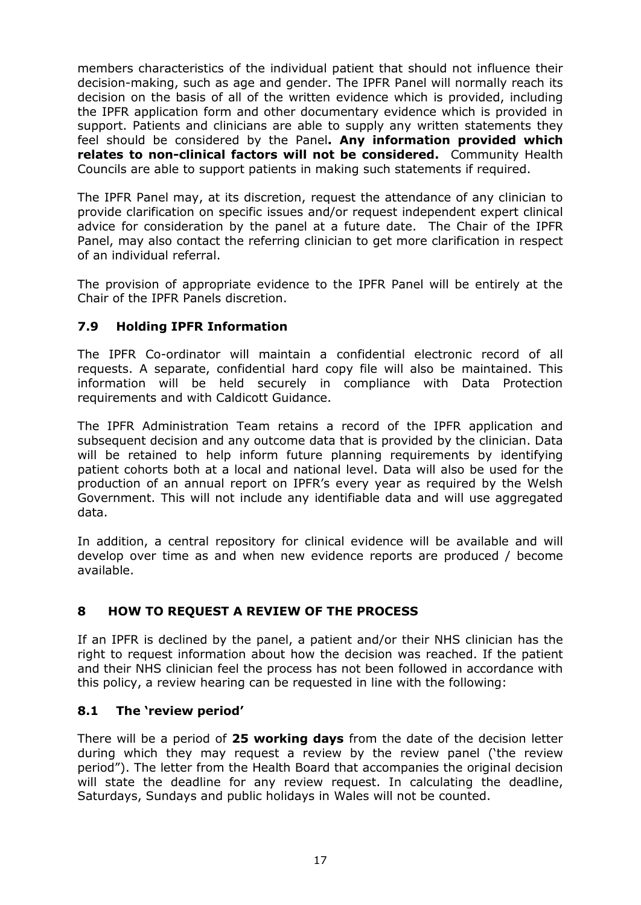members characteristics of the individual patient that should not influence their decision-making, such as age and gender. The IPFR Panel will normally reach its decision on the basis of all of the written evidence which is provided, including the IPFR application form and other documentary evidence which is provided in support. Patients and clinicians are able to supply any written statements they feel should be considered by the Panel**. Any information provided which relates to non-clinical factors will not be considered.** Community Health Councils are able to support patients in making such statements if required.

The IPFR Panel may, at its discretion, request the attendance of any clinician to provide clarification on specific issues and/or request independent expert clinical advice for consideration by the panel at a future date. The Chair of the IPFR Panel, may also contact the referring clinician to get more clarification in respect of an individual referral.

The provision of appropriate evidence to the IPFR Panel will be entirely at the Chair of the IPFR Panels discretion.

# <span id="page-16-0"></span>**7.9 Holding IPFR Information**

The IPFR Co-ordinator will maintain a confidential electronic record of all requests. A separate, confidential hard copy file will also be maintained. This information will be held securely in compliance with Data Protection requirements and with Caldicott Guidance.

The IPFR Administration Team retains a record of the IPFR application and subsequent decision and any outcome data that is provided by the clinician. Data will be retained to help inform future planning requirements by identifying patient cohorts both at a local and national level. Data will also be used for the production of an annual report on IPFR's every year as required by the Welsh Government. This will not include any identifiable data and will use aggregated data.

In addition, a central repository for clinical evidence will be available and will develop over time as and when new evidence reports are produced / become available.

# <span id="page-16-1"></span>**8 HOW TO REQUEST A REVIEW OF THE PROCESS**

If an IPFR is declined by the panel, a patient and/or their NHS clinician has the right to request information about how the decision was reached. If the patient and their NHS clinician feel the process has not been followed in accordance with this policy, a review hearing can be requested in line with the following:

## <span id="page-16-2"></span>**8.1 The 'review period'**

There will be a period of **25 working days** from the date of the decision letter during which they may request a review by the review panel ('the review period"). The letter from the Health Board that accompanies the original decision will state the deadline for any review request. In calculating the deadline, Saturdays, Sundays and public holidays in Wales will not be counted.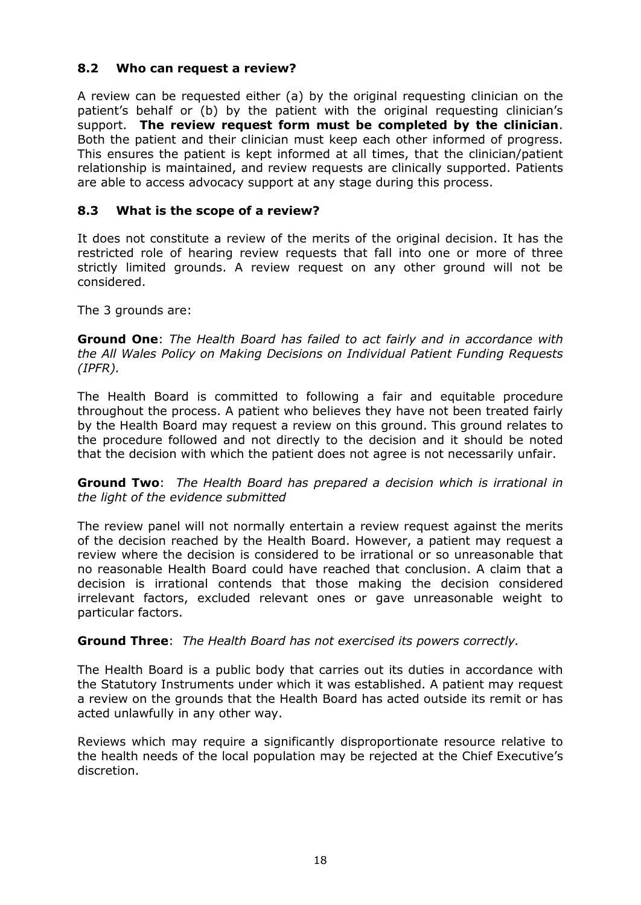# <span id="page-17-0"></span>**8.2 Who can request a review?**

A review can be requested either (a) by the original requesting clinician on the patient's behalf or (b) by the patient with the original requesting clinician's support. **The review request form must be completed by the clinician**. Both the patient and their clinician must keep each other informed of progress. This ensures the patient is kept informed at all times, that the clinician/patient relationship is maintained, and review requests are clinically supported. Patients are able to access advocacy support at any stage during this process.

# <span id="page-17-1"></span>**8.3 What is the scope of a review?**

It does not constitute a review of the merits of the original decision. It has the restricted role of hearing review requests that fall into one or more of three strictly limited grounds. A review request on any other ground will not be considered.

The 3 grounds are:

**Ground One**: *The Health Board has failed to act fairly and in accordance with the All Wales Policy on Making Decisions on Individual Patient Funding Requests (IPFR).*

The Health Board is committed to following a fair and equitable procedure throughout the process. A patient who believes they have not been treated fairly by the Health Board may request a review on this ground. This ground relates to the procedure followed and not directly to the decision and it should be noted that the decision with which the patient does not agree is not necessarily unfair.

**Ground Two**: *The Health Board has prepared a decision which is irrational in the light of the evidence submitted*

The review panel will not normally entertain a review request against the merits of the decision reached by the Health Board. However, a patient may request a review where the decision is considered to be irrational or so unreasonable that no reasonable Health Board could have reached that conclusion. A claim that a decision is irrational contends that those making the decision considered irrelevant factors, excluded relevant ones or gave unreasonable weight to particular factors.

## **Ground Three**: *The Health Board has not exercised its powers correctly.*

The Health Board is a public body that carries out its duties in accordance with the Statutory Instruments under which it was established. A patient may request a review on the grounds that the Health Board has acted outside its remit or has acted unlawfully in any other way.

Reviews which may require a significantly disproportionate resource relative to the health needs of the local population may be rejected at the Chief Executive's discretion.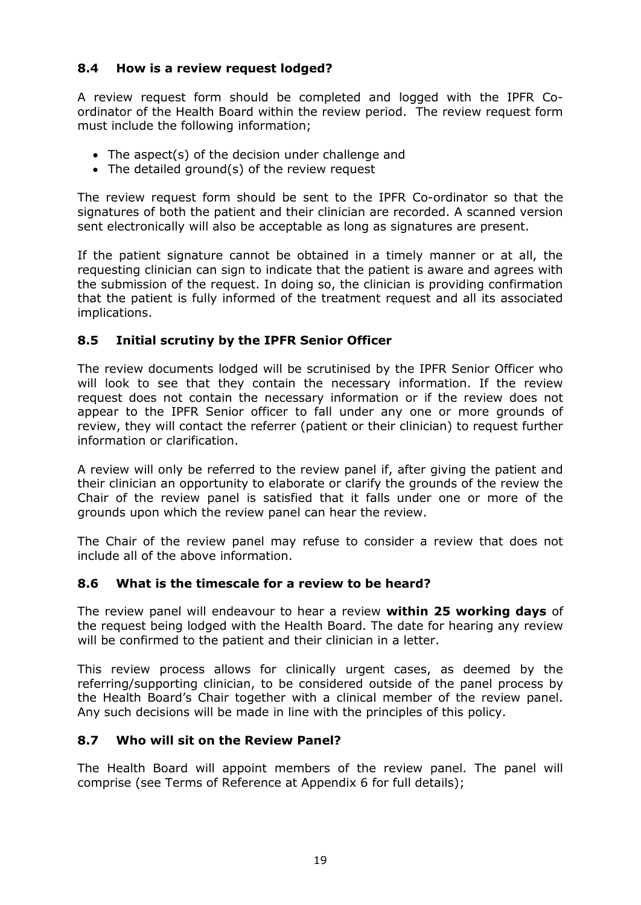# <span id="page-18-0"></span>**8.4 How is a review request lodged?**

A review request form should be completed and logged with the IPFR Coordinator of the Health Board within the review period. The review request form must include the following information;

- The aspect(s) of the decision under challenge and
- The detailed ground(s) of the review request

The review request form should be sent to the IPFR Co-ordinator so that the signatures of both the patient and their clinician are recorded. A scanned version sent electronically will also be acceptable as long as signatures are present.

If the patient signature cannot be obtained in a timely manner or at all, the requesting clinician can sign to indicate that the patient is aware and agrees with the submission of the request. In doing so, the clinician is providing confirmation that the patient is fully informed of the treatment request and all its associated implications.

# <span id="page-18-1"></span>**8.5 Initial scrutiny by the IPFR Senior Officer**

The review documents lodged will be scrutinised by the IPFR Senior Officer who will look to see that they contain the necessary information. If the review request does not contain the necessary information or if the review does not appear to the IPFR Senior officer to fall under any one or more grounds of review, they will contact the referrer (patient or their clinician) to request further information or clarification.

A review will only be referred to the review panel if, after giving the patient and their clinician an opportunity to elaborate or clarify the grounds of the review the Chair of the review panel is satisfied that it falls under one or more of the grounds upon which the review panel can hear the review.

The Chair of the review panel may refuse to consider a review that does not include all of the above information.

## <span id="page-18-2"></span>**8.6 What is the timescale for a review to be heard?**

The review panel will endeavour to hear a review **within 25 working days** of the request being lodged with the Health Board. The date for hearing any review will be confirmed to the patient and their clinician in a letter.

This review process allows for clinically urgent cases, as deemed by the referring/supporting clinician, to be considered outside of the panel process by the Health Board's Chair together with a clinical member of the review panel. Any such decisions will be made in line with the principles of this policy.

## <span id="page-18-3"></span>**8.7 Who will sit on the Review Panel?**

The Health Board will appoint members of the review panel. The panel will comprise (see Terms of Reference at Appendix 6 for full details);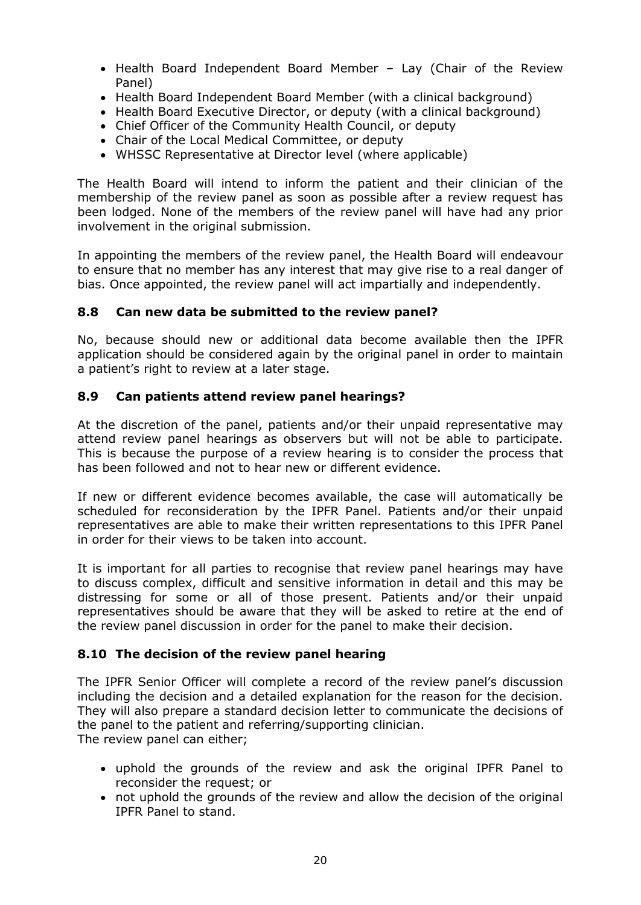- Health Board Independent Board Member Lay (Chair of the Review Panel)
- Health Board Independent Board Member (with a clinical background)
- Health Board Executive Director, or deputy (with a clinical background)
- Chief Officer of the Community Health Council, or deputy
- Chair of the Local Medical Committee, or deputy
- WHSSC Representative at Director level (where applicable)

The Health Board will intend to inform the patient and their clinician of the membership of the review panel as soon as possible after a review request has been lodged. None of the members of the review panel will have had any prior involvement in the original submission.

In appointing the members of the review panel, the Health Board will endeavour to ensure that no member has any interest that may give rise to a real danger of bias. Once appointed, the review panel will act impartially and independently.

## <span id="page-19-0"></span>**8.8 Can new data be submitted to the review panel?**

No, because should new or additional data become available then the IPFR application should be considered again by the original panel in order to maintain a patient's right to review at a later stage.

# <span id="page-19-1"></span>**8.9 Can patients attend review panel hearings?**

At the discretion of the panel, patients and/or their unpaid representative may attend review panel hearings as observers but will not be able to participate. This is because the purpose of a review hearing is to consider the process that has been followed and not to hear new or different evidence.

If new or different evidence becomes available, the case will automatically be scheduled for reconsideration by the IPFR Panel. Patients and/or their unpaid representatives are able to make their written representations to this IPFR Panel in order for their views to be taken into account.

It is important for all parties to recognise that review panel hearings may have to discuss complex, difficult and sensitive information in detail and this may be distressing for some or all of those present. Patients and/or their unpaid representatives should be aware that they will be asked to retire at the end of the review panel discussion in order for the panel to make their decision.

## <span id="page-19-2"></span>**8.10 The decision of the review panel hearing**

The IPFR Senior Officer will complete a record of the review panel's discussion including the decision and a detailed explanation for the reason for the decision. They will also prepare a standard decision letter to communicate the decisions of the panel to the patient and referring/supporting clinician. The review panel can either;

- uphold the grounds of the review and ask the original IPFR Panel to reconsider the request; or
- not uphold the grounds of the review and allow the decision of the original IPFR Panel to stand.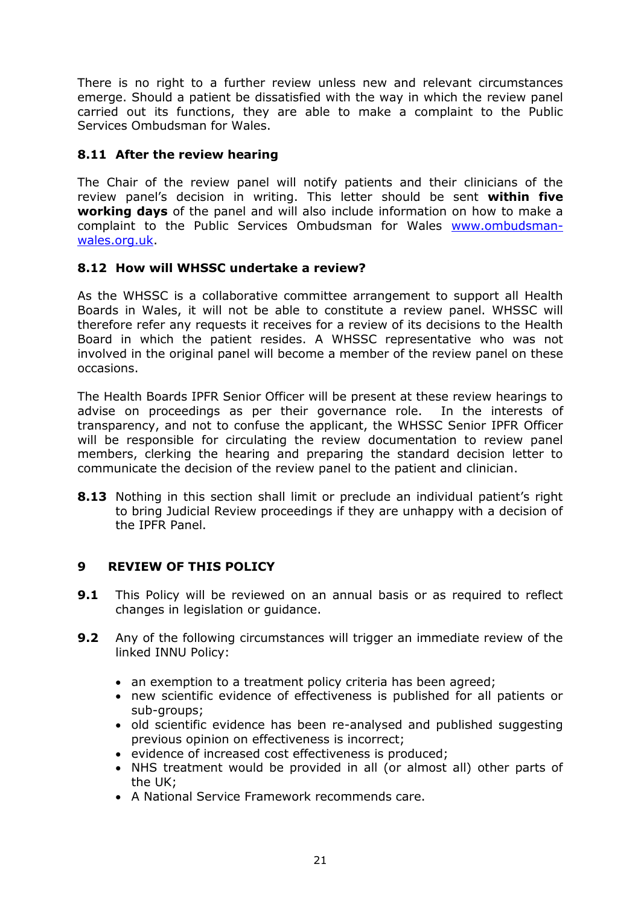There is no right to a further review unless new and relevant circumstances emerge. Should a patient be dissatisfied with the way in which the review panel carried out its functions, they are able to make a complaint to the Public Services Ombudsman for Wales.

# <span id="page-20-0"></span>**8.11 After the review hearing**

The Chair of the review panel will notify patients and their clinicians of the review panel's decision in writing. This letter should be sent **within five working days** of the panel and will also include information on how to make a complaint to the Public Services Ombudsman for Wales [www.ombudsman](http://www.ombudsman-wales.org.uk/)[wales.org.uk.](http://www.ombudsman-wales.org.uk/)

## <span id="page-20-1"></span>**8.12 How will WHSSC undertake a review?**

As the WHSSC is a collaborative committee arrangement to support all Health Boards in Wales, it will not be able to constitute a review panel. WHSSC will therefore refer any requests it receives for a review of its decisions to the Health Board in which the patient resides. A WHSSC representative who was not involved in the original panel will become a member of the review panel on these occasions.

The Health Boards IPFR Senior Officer will be present at these review hearings to advise on proceedings as per their governance role. In the interests of transparency, and not to confuse the applicant, the WHSSC Senior IPFR Officer will be responsible for circulating the review documentation to review panel members, clerking the hearing and preparing the standard decision letter to communicate the decision of the review panel to the patient and clinician.

**8.13** Nothing in this section shall limit or preclude an individual patient's right to bring Judicial Review proceedings if they are unhappy with a decision of the IPFR Panel.

# <span id="page-20-2"></span>**9 REVIEW OF THIS POLICY**

- **9.1** This Policy will be reviewed on an annual basis or as required to reflect changes in legislation or guidance.
- **9.2** Any of the following circumstances will trigger an immediate review of the linked INNU Policy:
	- an exemption to a treatment policy criteria has been agreed;
	- new scientific evidence of effectiveness is published for all patients or sub-groups;
	- old scientific evidence has been re-analysed and published suggesting previous opinion on effectiveness is incorrect;
	- evidence of increased cost effectiveness is produced;
	- NHS treatment would be provided in all (or almost all) other parts of the UK;
	- A National Service Framework recommends care.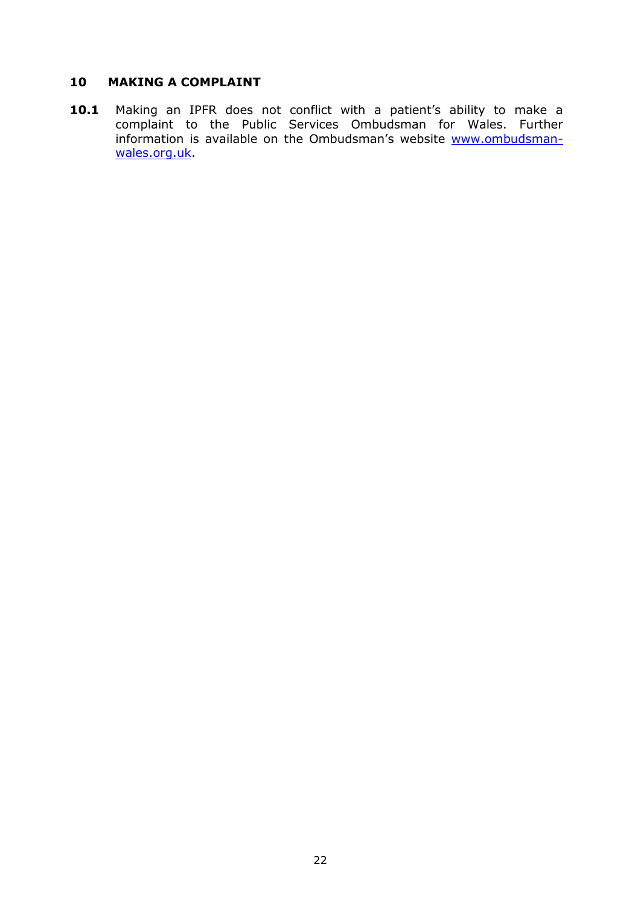# <span id="page-21-0"></span>**10 MAKING A COMPLAINT**

10.1 Making an IPFR does not conflict with a patient's ability to make a complaint to the Public Services Ombudsman for Wales. Further information is available on the Ombudsman's website [www.ombudsman](http://www.ombudsman-wales.org.uk/)[wales.org.uk.](http://www.ombudsman-wales.org.uk/)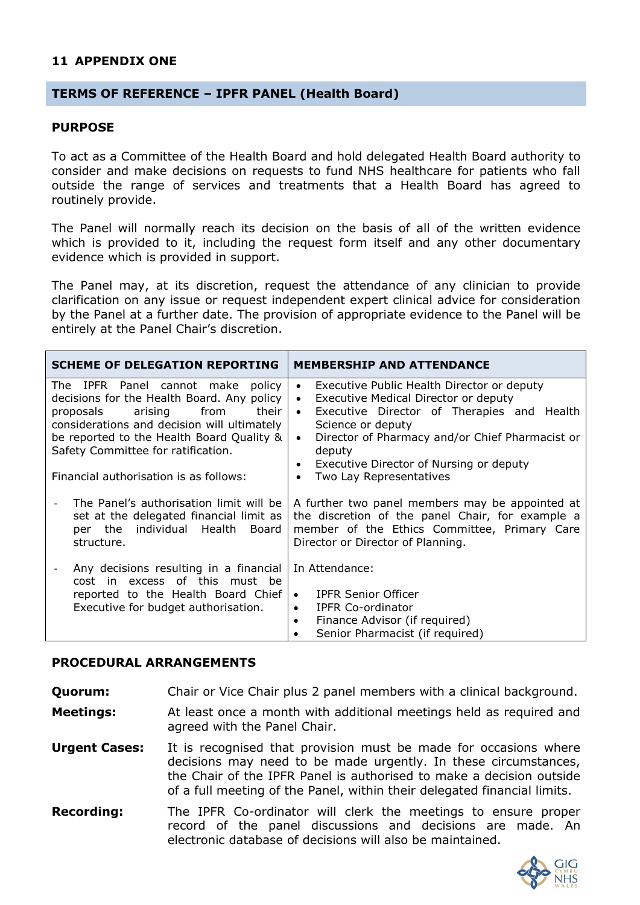### <span id="page-22-0"></span>**11 APPENDIX ONE**

### **TERMS OF REFERENCE – IPFR PANEL (Health Board)**

#### **PURPOSE**

To act as a Committee of the Health Board and hold delegated Health Board authority to consider and make decisions on requests to fund NHS healthcare for patients who fall outside the range of services and treatments that a Health Board has agreed to routinely provide.

The Panel will normally reach its decision on the basis of all of the written evidence which is provided to it, including the request form itself and any other documentary evidence which is provided in support.

The Panel may, at its discretion, request the attendance of any clinician to provide clarification on any issue or request independent expert clinical advice for consideration by the Panel at a further date. The provision of appropriate evidence to the Panel will be entirely at the Panel Chair's discretion.

| <b>SCHEME OF DELEGATION REPORTING</b>                                                                                                                                                                                                                                                                   | <b>MEMBERSHIP AND ATTENDANCE</b>                                                                                                                                                                                                                                                                                                    |
|---------------------------------------------------------------------------------------------------------------------------------------------------------------------------------------------------------------------------------------------------------------------------------------------------------|-------------------------------------------------------------------------------------------------------------------------------------------------------------------------------------------------------------------------------------------------------------------------------------------------------------------------------------|
| The IPFR Panel cannot make<br>policy<br>decisions for the Health Board. Any policy<br>arising<br>from<br>their<br>proposals<br>considerations and decision will ultimately<br>be reported to the Health Board Quality &<br>Safety Committee for ratification.<br>Financial authorisation is as follows: | Executive Public Health Director or deputy<br>$\bullet$<br>• Executive Medical Director or deputy<br>Executive Director of Therapies and Health<br>$\bullet$<br>Science or deputy<br>Director of Pharmacy and/or Chief Pharmacist or<br>$\bullet$<br>deputy<br>• Executive Director of Nursing or deputy<br>Two Lay Representatives |
| The Panel's authorisation limit will be<br>set at the delegated financial limit as<br>individual Health<br>per the<br>Board<br>structure.                                                                                                                                                               | A further two panel members may be appointed at<br>the discretion of the panel Chair, for example a<br>member of the Ethics Committee, Primary Care<br>Director or Director of Planning.                                                                                                                                            |
| Any decisions resulting in a financial<br>cost in excess of this must be<br>reported to the Health Board Chief<br>Executive for budget authorisation.                                                                                                                                                   | In Attendance:<br><b>IPFR Senior Officer</b><br>$\bullet$<br><b>IPFR Co-ordinator</b><br>$\bullet$<br>Finance Advisor (if required)<br>$\bullet$<br>Senior Pharmacist (if required)<br>$\bullet$                                                                                                                                    |

#### **PROCEDURAL ARRANGEMENTS**

**Quorum:** Chair or Vice Chair plus 2 panel members with a clinical background.

**Meetings:** At least once a month with additional meetings held as required and agreed with the Panel Chair.

- **Urgent Cases:** It is recognised that provision must be made for occasions where decisions may need to be made urgently. In these circumstances, the Chair of the IPFR Panel is authorised to make a decision outside of a full meeting of the Panel, within their delegated financial limits.
- **Recording:** The IPFR Co-ordinator will clerk the meetings to ensure proper record of the panel discussions and decisions are made. An electronic database of decisions will also be maintained.

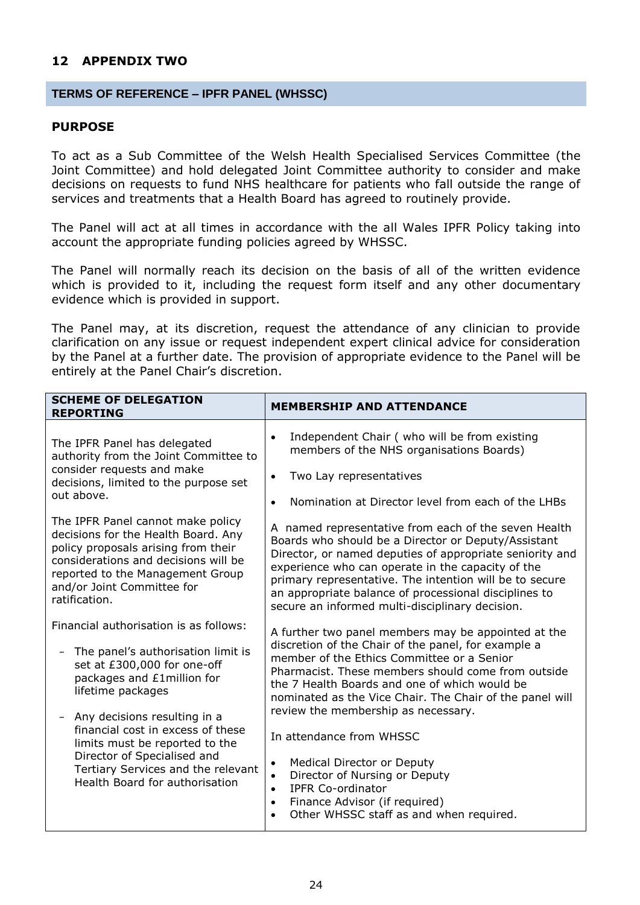### <span id="page-23-0"></span>**12 APPENDIX TWO**

#### **TERMS OF REFERENCE – IPFR PANEL (WHSSC)**

#### **PURPOSE**

To act as a Sub Committee of the Welsh Health Specialised Services Committee (the Joint Committee) and hold delegated Joint Committee authority to consider and make decisions on requests to fund NHS healthcare for patients who fall outside the range of services and treatments that a Health Board has agreed to routinely provide.

The Panel will act at all times in accordance with the all Wales IPFR Policy taking into account the appropriate funding policies agreed by WHSSC.

The Panel will normally reach its decision on the basis of all of the written evidence which is provided to it, including the request form itself and any other documentary evidence which is provided in support.

The Panel may, at its discretion, request the attendance of any clinician to provide clarification on any issue or request independent expert clinical advice for consideration by the Panel at a further date. The provision of appropriate evidence to the Panel will be entirely at the Panel Chair's discretion.

| <b>SCHEME OF DELEGATION</b><br><b>REPORTING</b>                                                                                                                                                                                                                                                                                                                                                          | <b>MEMBERSHIP AND ATTENDANCE</b>                                                                                                                                                                                                                                                                                                                                                                                                                                                                                                                                                                                                 |
|----------------------------------------------------------------------------------------------------------------------------------------------------------------------------------------------------------------------------------------------------------------------------------------------------------------------------------------------------------------------------------------------------------|----------------------------------------------------------------------------------------------------------------------------------------------------------------------------------------------------------------------------------------------------------------------------------------------------------------------------------------------------------------------------------------------------------------------------------------------------------------------------------------------------------------------------------------------------------------------------------------------------------------------------------|
| The IPFR Panel has delegated<br>authority from the Joint Committee to<br>consider requests and make<br>decisions, limited to the purpose set<br>out above.                                                                                                                                                                                                                                               | Independent Chair (who will be from existing<br>$\bullet$<br>members of the NHS organisations Boards)<br>Two Lay representatives<br>$\bullet$<br>Nomination at Director level from each of the LHBs<br>$\bullet$                                                                                                                                                                                                                                                                                                                                                                                                                 |
| The IPFR Panel cannot make policy<br>decisions for the Health Board. Any<br>policy proposals arising from their<br>considerations and decisions will be<br>reported to the Management Group<br>and/or Joint Committee for<br>ratification.                                                                                                                                                               | A named representative from each of the seven Health<br>Boards who should be a Director or Deputy/Assistant<br>Director, or named deputies of appropriate seniority and<br>experience who can operate in the capacity of the<br>primary representative. The intention will be to secure<br>an appropriate balance of processional disciplines to<br>secure an informed multi-disciplinary decision.                                                                                                                                                                                                                              |
| Financial authorisation is as follows:<br>The panel's authorisation limit is<br>set at £300,000 for one-off<br>packages and £1million for<br>lifetime packages<br>Any decisions resulting in a<br>$\overline{\phantom{m}}$<br>financial cost in excess of these<br>limits must be reported to the<br>Director of Specialised and<br>Tertiary Services and the relevant<br>Health Board for authorisation | A further two panel members may be appointed at the<br>discretion of the Chair of the panel, for example a<br>member of the Ethics Committee or a Senior<br>Pharmacist. These members should come from outside<br>the 7 Health Boards and one of which would be<br>nominated as the Vice Chair. The Chair of the panel will<br>review the membership as necessary.<br>In attendance from WHSSC<br><b>Medical Director or Deputy</b><br>$\bullet$<br>Director of Nursing or Deputy<br>$\bullet$<br><b>IPFR Co-ordinator</b><br>$\bullet$<br>Finance Advisor (if required)<br>$\bullet$<br>Other WHSSC staff as and when required. |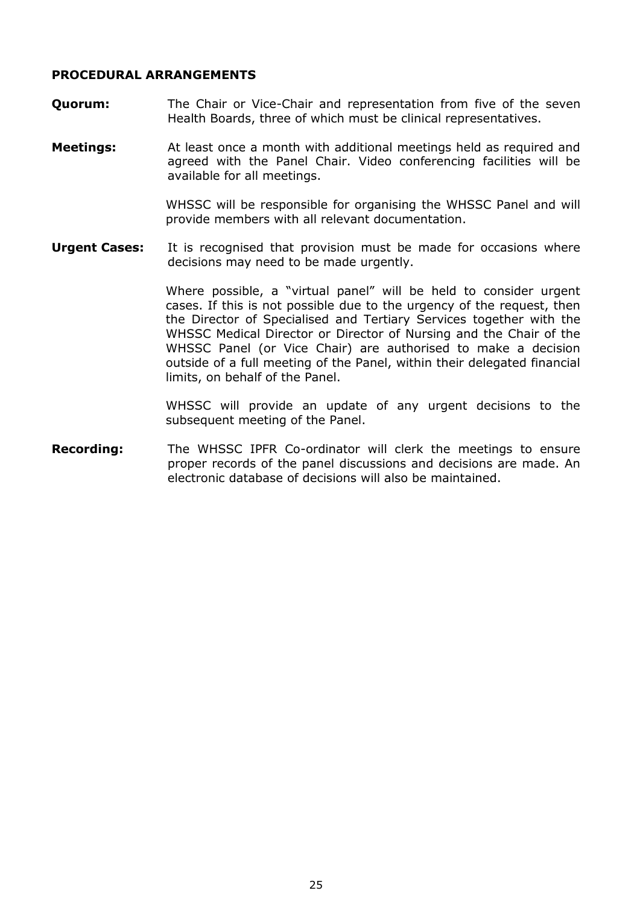### **PROCEDURAL ARRANGEMENTS**

- **Ouorum:** The Chair or Vice-Chair and representation from five of the seven Health Boards, three of which must be clinical representatives.
- **Meetings:** At least once a month with additional meetings held as required and agreed with the Panel Chair. Video conferencing facilities will be available for all meetings.

WHSSC will be responsible for organising the WHSSC Panel and will provide members with all relevant documentation.

**Urgent Cases:** It is recognised that provision must be made for occasions where decisions may need to be made urgently.

> Where possible, a "virtual panel" will be held to consider urgent cases. If this is not possible due to the urgency of the request, then the Director of Specialised and Tertiary Services together with the WHSSC Medical Director or Director of Nursing and the Chair of the WHSSC Panel (or Vice Chair) are authorised to make a decision outside of a full meeting of the Panel, within their delegated financial limits, on behalf of the Panel.

> WHSSC will provide an update of any urgent decisions to the subsequent meeting of the Panel.

<span id="page-24-0"></span>**Recording:** The WHSSC IPFR Co-ordinator will clerk the meetings to ensure proper records of the panel discussions and decisions are made. An electronic database of decisions will also be maintained.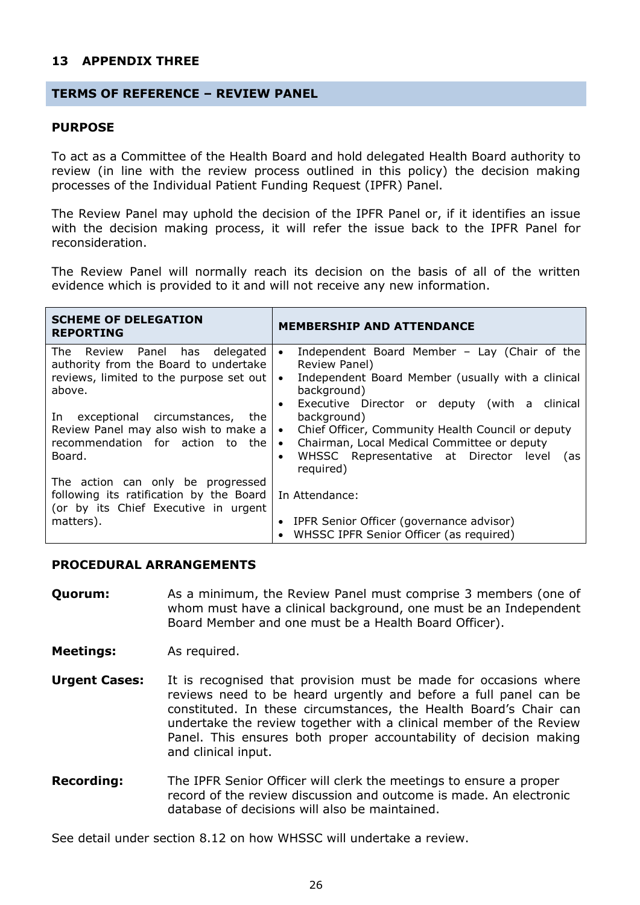### **13 APPENDIX THREE**

#### **TERMS OF REFERENCE – REVIEW PANEL**

#### **PURPOSE**

To act as a Committee of the Health Board and hold delegated Health Board authority to review (in line with the review process outlined in this policy) the decision making processes of the Individual Patient Funding Request (IPFR) Panel.

The Review Panel may uphold the decision of the IPFR Panel or, if it identifies an issue with the decision making process, it will refer the issue back to the IPFR Panel for reconsideration.

The Review Panel will normally reach its decision on the basis of all of the written evidence which is provided to it and will not receive any new information.

| <b>SCHEME OF DELEGATION</b><br><b>REPORTING</b>                                                                                                                                                                                                               | <b>MEMBERSHIP AND ATTENDANCE</b>                                                                                                                                                                                                                                                                                                                                                                                                     |
|---------------------------------------------------------------------------------------------------------------------------------------------------------------------------------------------------------------------------------------------------------------|--------------------------------------------------------------------------------------------------------------------------------------------------------------------------------------------------------------------------------------------------------------------------------------------------------------------------------------------------------------------------------------------------------------------------------------|
| Panel has delegated<br>The Review<br>authority from the Board to undertake<br>reviews, limited to the purpose set out<br>above.<br>exceptional circumstances, the<br>In<br>Review Panel may also wish to make a<br>recommendation for action to the<br>Board. | Independent Board Member - Lay (Chair of the<br>$\bullet$<br>Review Panel)<br>Independent Board Member (usually with a clinical<br>$\bullet$<br>background)<br>Executive Director or deputy (with a clinical<br>$\bullet$<br>background)<br>Chief Officer, Community Health Council or deputy<br>$\bullet$<br>Chairman, Local Medical Committee or deputy<br>$\bullet$<br>WHSSC Representative at Director level<br>(as<br>$\bullet$ |
| The action can only be progressed<br>following its ratification by the Board<br>(or by its Chief Executive in urgent<br>matters).                                                                                                                             | required)<br>In Attendance:<br>IPFR Senior Officer (governance advisor)<br>$\bullet$<br>WHSSC IPFR Senior Officer (as required)<br>$\bullet$                                                                                                                                                                                                                                                                                         |

#### **PROCEDURAL ARRANGEMENTS**

**Ouorum:** As a minimum, the Review Panel must comprise 3 members (one of whom must have a clinical background, one must be an Independent Board Member and one must be a Health Board Officer).

**Meetings:** As required.

- **Urgent Cases:** It is recognised that provision must be made for occasions where reviews need to be heard urgently and before a full panel can be constituted. In these circumstances, the Health Board's Chair can undertake the review together with a clinical member of the Review Panel. This ensures both proper accountability of decision making and clinical input.
- **Recording:** The IPFR Senior Officer will clerk the meetings to ensure a proper record of the review discussion and outcome is made. An electronic database of decisions will also be maintained.

See detail under section 8.12 on how WHSSC will undertake a review.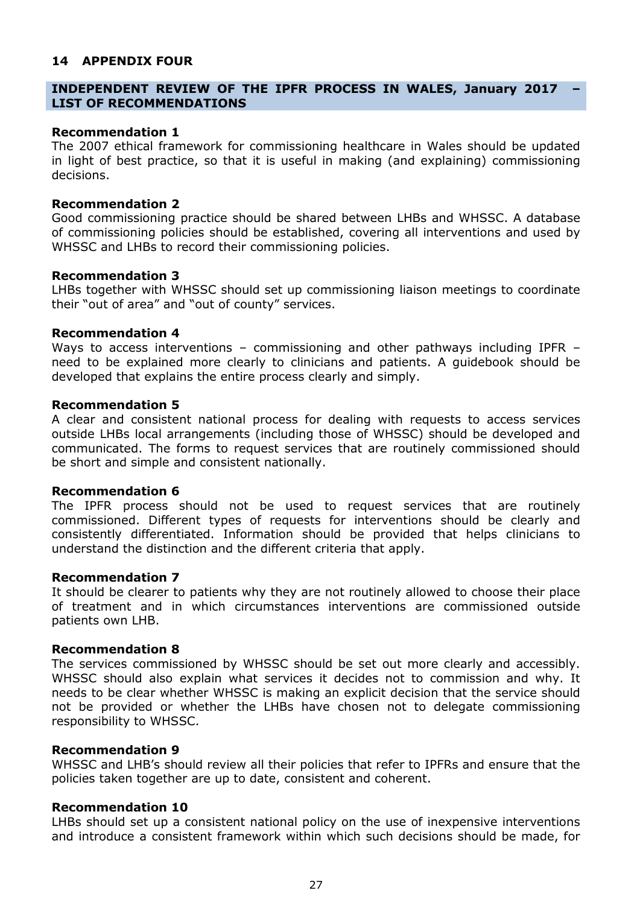### <span id="page-26-0"></span>**14 APPENDIX FOUR**

### **INDEPENDENT REVIEW OF THE IPFR PROCESS IN WALES, January 2017 – LIST OF RECOMMENDATIONS**

#### **Recommendation 1**

The 2007 ethical framework for commissioning healthcare in Wales should be updated in light of best practice, so that it is useful in making (and explaining) commissioning decisions.

#### **Recommendation 2**

Good commissioning practice should be shared between LHBs and WHSSC. A database of commissioning policies should be established, covering all interventions and used by WHSSC and LHBs to record their commissioning policies.

#### **Recommendation 3**

LHBs together with WHSSC should set up commissioning liaison meetings to coordinate their "out of area" and "out of county" services.

#### **Recommendation 4**

Ways to access interventions - commissioning and other pathways including IPFR need to be explained more clearly to clinicians and patients. A guidebook should be developed that explains the entire process clearly and simply.

#### **Recommendation 5**

A clear and consistent national process for dealing with requests to access services outside LHBs local arrangements (including those of WHSSC) should be developed and communicated. The forms to request services that are routinely commissioned should be short and simple and consistent nationally.

### **Recommendation 6**

The IPFR process should not be used to request services that are routinely commissioned. Different types of requests for interventions should be clearly and consistently differentiated. Information should be provided that helps clinicians to understand the distinction and the different criteria that apply.

#### **Recommendation 7**

It should be clearer to patients why they are not routinely allowed to choose their place of treatment and in which circumstances interventions are commissioned outside patients own LHB.

#### **Recommendation 8**

The services commissioned by WHSSC should be set out more clearly and accessibly. WHSSC should also explain what services it decides not to commission and why. It needs to be clear whether WHSSC is making an explicit decision that the service should not be provided or whether the LHBs have chosen not to delegate commissioning responsibility to WHSSC.

### **Recommendation 9**

WHSSC and LHB's should review all their policies that refer to IPFRs and ensure that the policies taken together are up to date, consistent and coherent.

#### **Recommendation 10**

LHBs should set up a consistent national policy on the use of inexpensive interventions and introduce a consistent framework within which such decisions should be made, for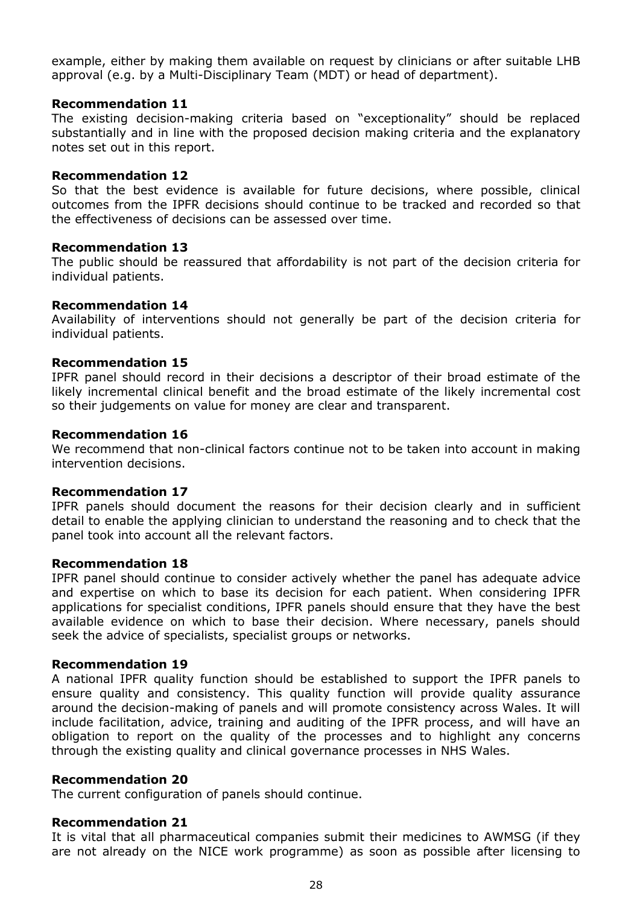example, either by making them available on request by clinicians or after suitable LHB approval (e.g. by a Multi-Disciplinary Team (MDT) or head of department).

### **Recommendation 11**

The existing decision-making criteria based on "exceptionality" should be replaced substantially and in line with the proposed decision making criteria and the explanatory notes set out in this report.

### **Recommendation 12**

So that the best evidence is available for future decisions, where possible, clinical outcomes from the IPFR decisions should continue to be tracked and recorded so that the effectiveness of decisions can be assessed over time.

### **Recommendation 13**

The public should be reassured that affordability is not part of the decision criteria for individual patients.

### **Recommendation 14**

Availability of interventions should not generally be part of the decision criteria for individual patients.

### **Recommendation 15**

IPFR panel should record in their decisions a descriptor of their broad estimate of the likely incremental clinical benefit and the broad estimate of the likely incremental cost so their judgements on value for money are clear and transparent.

### **Recommendation 16**

We recommend that non-clinical factors continue not to be taken into account in making intervention decisions.

### **Recommendation 17**

IPFR panels should document the reasons for their decision clearly and in sufficient detail to enable the applying clinician to understand the reasoning and to check that the panel took into account all the relevant factors.

### **Recommendation 18**

IPFR panel should continue to consider actively whether the panel has adequate advice and expertise on which to base its decision for each patient. When considering IPFR applications for specialist conditions, IPFR panels should ensure that they have the best available evidence on which to base their decision. Where necessary, panels should seek the advice of specialists, specialist groups or networks.

### **Recommendation 19**

A national IPFR quality function should be established to support the IPFR panels to ensure quality and consistency. This quality function will provide quality assurance around the decision-making of panels and will promote consistency across Wales. It will include facilitation, advice, training and auditing of the IPFR process, and will have an obligation to report on the quality of the processes and to highlight any concerns through the existing quality and clinical governance processes in NHS Wales.

### **Recommendation 20**

The current configuration of panels should continue.

## **Recommendation 21**

It is vital that all pharmaceutical companies submit their medicines to AWMSG (if they are not already on the NICE work programme) as soon as possible after licensing to